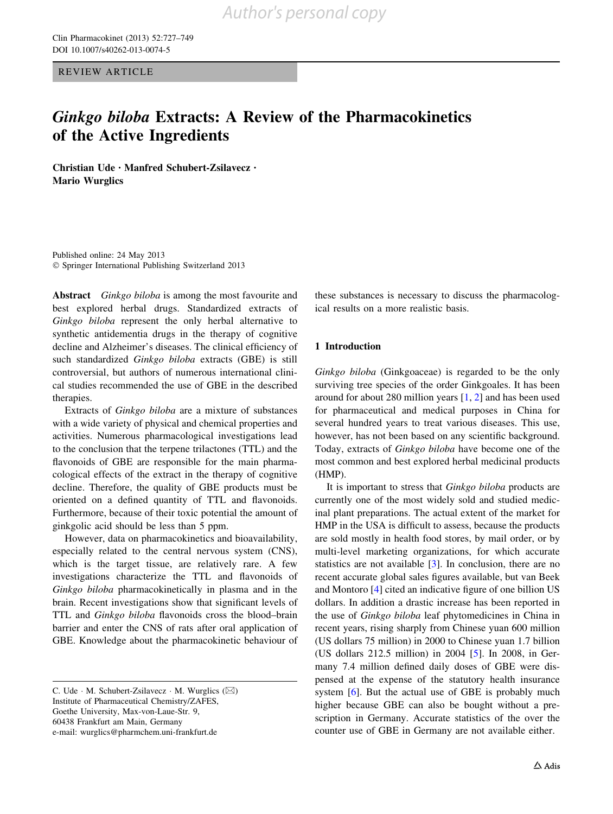REVIEW ARTICLE

### Ginkgo biloba Extracts: A Review of the Pharmacokinetics of the Active Ingredients

Christian Ude • Manfred Schubert-Zsilavecz • Mario Wurglics

Published online: 24 May 2013 - Springer International Publishing Switzerland 2013

Abstract *Ginkgo biloba* is among the most favourite and best explored herbal drugs. Standardized extracts of Ginkgo biloba represent the only herbal alternative to synthetic antidementia drugs in the therapy of cognitive decline and Alzheimer's diseases. The clinical efficiency of such standardized Ginkgo biloba extracts (GBE) is still controversial, but authors of numerous international clinical studies recommended the use of GBE in the described therapies.

Extracts of Ginkgo biloba are a mixture of substances with a wide variety of physical and chemical properties and activities. Numerous pharmacological investigations lead to the conclusion that the terpene trilactones (TTL) and the flavonoids of GBE are responsible for the main pharmacological effects of the extract in the therapy of cognitive decline. Therefore, the quality of GBE products must be oriented on a defined quantity of TTL and flavonoids. Furthermore, because of their toxic potential the amount of ginkgolic acid should be less than 5 ppm.

However, data on pharmacokinetics and bioavailability, especially related to the central nervous system (CNS), which is the target tissue, are relatively rare. A few investigations characterize the TTL and flavonoids of Ginkgo biloba pharmacokinetically in plasma and in the brain. Recent investigations show that significant levels of TTL and Ginkgo biloba flavonoids cross the blood–brain barrier and enter the CNS of rats after oral application of GBE. Knowledge about the pharmacokinetic behaviour of

these substances is necessary to discuss the pharmacological results on a more realistic basis.

#### 1 Introduction

Ginkgo biloba (Ginkgoaceae) is regarded to be the only surviving tree species of the order Ginkgoales. It has been around for about 280 million years [\[1](#page-18-0), [2](#page-18-0)] and has been used for pharmaceutical and medical purposes in China for several hundred years to treat various diseases. This use, however, has not been based on any scientific background. Today, extracts of Ginkgo biloba have become one of the most common and best explored herbal medicinal products (HMP).

It is important to stress that Ginkgo biloba products are currently one of the most widely sold and studied medicinal plant preparations. The actual extent of the market for HMP in the USA is difficult to assess, because the products are sold mostly in health food stores, by mail order, or by multi-level marketing organizations, for which accurate statistics are not available [\[3](#page-18-0)]. In conclusion, there are no recent accurate global sales figures available, but van Beek and Montoro [[4\]](#page-18-0) cited an indicative figure of one billion US dollars. In addition a drastic increase has been reported in the use of Ginkgo biloba leaf phytomedicines in China in recent years, rising sharply from Chinese yuan 600 million (US dollars 75 million) in 2000 to Chinese yuan 1.7 billion (US dollars 212.5 million) in 2004 [\[5](#page-18-0)]. In 2008, in Germany 7.4 million defined daily doses of GBE were dispensed at the expense of the statutory health insurance system [\[6](#page-18-0)]. But the actual use of GBE is probably much higher because GBE can also be bought without a prescription in Germany. Accurate statistics of the over the counter use of GBE in Germany are not available either.

C. Ude  $\cdot$  M. Schubert-Zsilavecz  $\cdot$  M. Wurglics ( $\boxtimes$ ) Institute of Pharmaceutical Chemistry/ZAFES, Goethe University, Max-von-Laue-Str. 9, 60438 Frankfurt am Main, Germany e-mail: wurglics@pharmchem.uni-frankfurt.de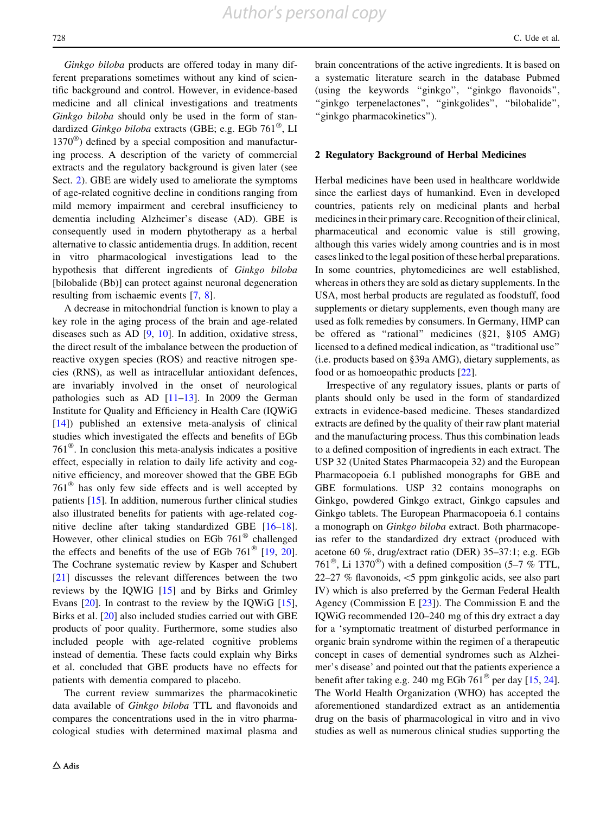Ginkgo biloba products are offered today in many different preparations sometimes without any kind of scientific background and control. However, in evidence-based medicine and all clinical investigations and treatments Ginkgo biloba should only be used in the form of standardized Ginkgo biloba extracts (GBE; e.g. EGb  $761^{\circ\circ}$ , LI  $1370^{\circledR}$ ) defined by a special composition and manufacturing process. A description of the variety of commercial extracts and the regulatory background is given later (see Sect. 2). GBE are widely used to ameliorate the symptoms of age-related cognitive decline in conditions ranging from mild memory impairment and cerebral insufficiency to dementia including Alzheimer's disease (AD). GBE is consequently used in modern phytotherapy as a herbal alternative to classic antidementia drugs. In addition, recent in vitro pharmacological investigations lead to the hypothesis that different ingredients of Ginkgo biloba [bilobalide (Bb)] can protect against neuronal degeneration resulting from ischaemic events [[7,](#page-18-0) [8\]](#page-18-0).

A decrease in mitochondrial function is known to play a key role in the aging process of the brain and age-related diseases such as AD [\[9](#page-18-0), [10](#page-18-0)]. In addition, oxidative stress, the direct result of the imbalance between the production of reactive oxygen species (ROS) and reactive nitrogen species (RNS), as well as intracellular antioxidant defences, are invariably involved in the onset of neurological pathologies such as AD  $[11-13]$ . In 2009 the German Institute for Quality and Efficiency in Health Care (IQWiG [\[14](#page-18-0)]) published an extensive meta-analysis of clinical studies which investigated the effects and benefits of EGb  $761^{\circ}$ . In conclusion this meta-analysis indicates a positive effect, especially in relation to daily life activity and cognitive efficiency, and moreover showed that the GBE EGb  $761^{\circ}$  has only few side effects and is well accepted by patients [\[15](#page-18-0)]. In addition, numerous further clinical studies also illustrated benefits for patients with age-related cognitive decline after taking standardized GBE [\[16–18](#page-18-0)]. However, other clinical studies on EGb  $761^{\circ}$  challenged the effects and benefits of the use of EGb  $761^{\circ}$  [\[19](#page-18-0), [20](#page-18-0)]. The Cochrane systematic review by Kasper and Schubert [\[21](#page-18-0)] discusses the relevant differences between the two reviews by the IQWIG [[15\]](#page-18-0) and by Birks and Grimley Evans [\[20](#page-18-0)]. In contrast to the review by the IQWiG [\[15](#page-18-0)], Birks et al. [[20\]](#page-18-0) also included studies carried out with GBE products of poor quality. Furthermore, some studies also included people with age-related cognitive problems instead of dementia. These facts could explain why Birks et al. concluded that GBE products have no effects for patients with dementia compared to placebo.

The current review summarizes the pharmacokinetic data available of Ginkgo biloba TTL and flavonoids and compares the concentrations used in the in vitro pharmacological studies with determined maximal plasma and brain concentrations of the active ingredients. It is based on a systematic literature search in the database Pubmed (using the keywords ''ginkgo'', ''ginkgo flavonoids'', ''ginkgo terpenelactones'', ''ginkgolides'', ''bilobalide'', ''ginkgo pharmacokinetics'').

#### 2 Regulatory Background of Herbal Medicines

Herbal medicines have been used in healthcare worldwide since the earliest days of humankind. Even in developed countries, patients rely on medicinal plants and herbal medicines in their primary care. Recognition of their clinical, pharmaceutical and economic value is still growing, although this varies widely among countries and is in most cases linked to the legal position of these herbal preparations. In some countries, phytomedicines are well established, whereas in others they are sold as dietary supplements. In the USA, most herbal products are regulated as foodstuff, food supplements or dietary supplements, even though many are used as folk remedies by consumers. In Germany, HMP can be offered as ''rational'' medicines (§21, §105 AMG) licensed to a defined medical indication, as ''traditional use'' (i.e. products based on §39a AMG), dietary supplements, as food or as homoeopathic products [\[22](#page-18-0)].

Irrespective of any regulatory issues, plants or parts of plants should only be used in the form of standardized extracts in evidence-based medicine. Theses standardized extracts are defined by the quality of their raw plant material and the manufacturing process. Thus this combination leads to a defined composition of ingredients in each extract. The USP 32 (United States Pharmacopeia 32) and the European Pharmacopoeia 6.1 published monographs for GBE and GBE formulations. USP 32 contains monographs on Ginkgo, powdered Ginkgo extract, Ginkgo capsules and Ginkgo tablets. The European Pharmacopoeia 6.1 contains a monograph on Ginkgo biloba extract. Both pharmacopeias refer to the standardized dry extract (produced with acetone 60 %, drug/extract ratio (DER) 35–37:1; e.g. EGb 761<sup>\eff</sup>, Li 1370<sup>\eff{0}</sup>) with a defined composition (5–7  $\%$  TTL, 22–27 % flavonoids,  $\leq$ 5 ppm ginkgolic acids, see also part IV) which is also preferred by the German Federal Health Agency (Commission E  $[23]$  $[23]$ ). The Commission E and the IQWiG recommended 120–240 mg of this dry extract a day for a 'symptomatic treatment of disturbed performance in organic brain syndrome within the regimen of a therapeutic concept in cases of demential syndromes such as Alzheimer's disease' and pointed out that the patients experience a benefit after taking e.g. [24](#page-18-0)0 mg EGb 761<sup> $\textcircled{}$ </sup> per day [[15,](#page-18-0) 24]. The World Health Organization (WHO) has accepted the aforementioned standardized extract as an antidementia drug on the basis of pharmacological in vitro and in vivo studies as well as numerous clinical studies supporting the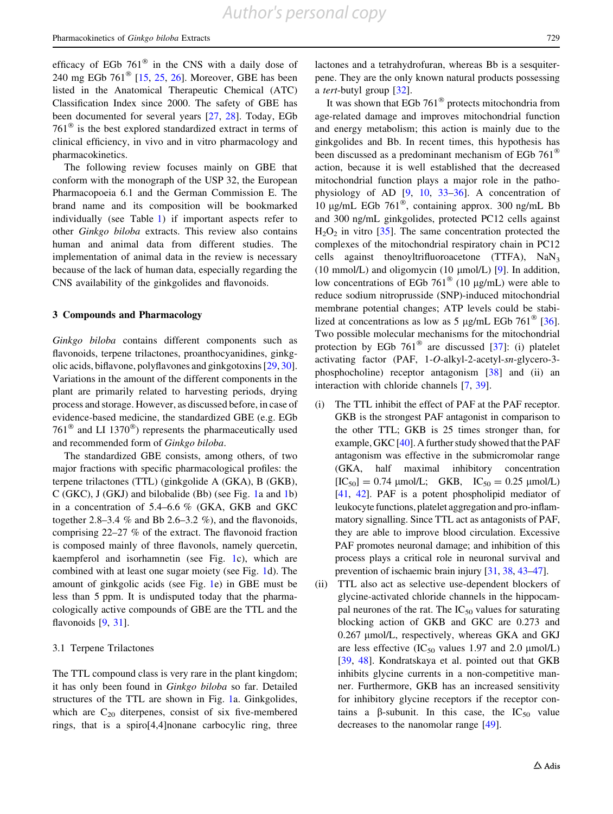<span id="page-2-0"></span>efficacy of EGb  $761^{\circ}$  in the CNS with a daily dose of 240 mg EGb  $761^{\circ}$  [\[15](#page-18-0), [25](#page-18-0), [26](#page-18-0)]. Moreover, GBE has been listed in the Anatomical Therapeutic Chemical (ATC) Classification Index since 2000. The safety of GBE has been documented for several years [[27,](#page-18-0) [28](#page-18-0)]. Today, EGb  $761^{\circ}$  is the best explored standardized extract in terms of clinical efficiency, in vivo and in vitro pharmacology and pharmacokinetics.

The following review focuses mainly on GBE that conform with the monograph of the USP 32, the European Pharmacopoeia 6.1 and the German Commission E. The brand name and its composition will be bookmarked individually (see Table [1\)](#page-3-0) if important aspects refer to other Ginkgo biloba extracts. This review also contains human and animal data from different studies. The implementation of animal data in the review is necessary because of the lack of human data, especially regarding the CNS availability of the ginkgolides and flavonoids.

#### 3 Compounds and Pharmacology

Ginkgo biloba contains different components such as flavonoids, terpene trilactones, proanthocyanidines, ginkgolic acids, biflavone, polyflavones and ginkgotoxins [\[29](#page-18-0), [30](#page-18-0)]. Variations in the amount of the different components in the plant are primarily related to harvesting periods, drying process and storage. However, as discussed before, in case of evidence-based medicine, the standardized GBE (e.g. EGb 761 $^{\circ}$  and LI 1370 $^{\circ}$ ) represents the pharmaceutically used and recommended form of Ginkgo biloba.

The standardized GBE consists, among others, of two major fractions with specific pharmacological profiles: the terpene trilactones (TTL) (ginkgolide A (GKA), B (GKB), C (GKC), J (GKJ) and bilobalide (Bb) (see Fig. [1](#page-4-0)a and [1b](#page-4-0)) in a concentration of 5.4–6.6 % (GKA, GKB and GKC together 2.8–3.4 % and Bb 2.6–3.2 %), and the flavonoids, comprising 22–27 % of the extract. The flavonoid fraction is composed mainly of three flavonols, namely quercetin, kaempferol and isorhamnetin (see Fig. [1](#page-4-0)c), which are combined with at least one sugar moiety (see Fig. [1d](#page-4-0)). The amount of ginkgolic acids (see Fig. [1](#page-4-0)e) in GBE must be less than 5 ppm. It is undisputed today that the pharmacologically active compounds of GBE are the TTL and the flavonoids [\[9](#page-18-0), [31](#page-18-0)].

#### 3.1 Terpene Trilactones

The TTL compound class is very rare in the plant kingdom; it has only been found in Ginkgo biloba so far. Detailed structures of the TTL are shown in Fig. [1a](#page-4-0). Ginkgolides, which are  $C_{20}$  diterpenes, consist of six five-membered rings, that is a spiro[4,4]nonane carbocylic ring, three

lactones and a tetrahydrofuran, whereas Bb is a sesquiterpene. They are the only known natural products possessing a tert-butyl group [\[32](#page-18-0)].

It was shown that EGb  $761^{\circ}$  protects mitochondria from age-related damage and improves mitochondrial function and energy metabolism; this action is mainly due to the ginkgolides and Bb. In recent times, this hypothesis has been discussed as a predominant mechanism of EGb 761<sup>®</sup> action, because it is well established that the decreased mitochondrial function plays a major role in the pathophysiology of AD  $[9, 10, 33-36]$  $[9, 10, 33-36]$  $[9, 10, 33-36]$  $[9, 10, 33-36]$ . A concentration of 10 µg/mL EGb  $761^{\circ\circ}$ , containing approx. 300 ng/mL Bb and 300 ng/mL ginkgolides, protected PC12 cells against  $H_2O_2$  in vitro [\[35](#page-18-0)]. The same concentration protected the complexes of the mitochondrial respiratory chain in PC12 cells against thenoyltrifluoroacetone (TTFA),  $NaN<sub>3</sub>$ (10 mmol/L) and oligomycin (10  $\mu$ mol/L) [[9\]](#page-18-0). In addition, low concentrations of EGb 761<sup> $\degree$ </sup> (10  $\mu$ g/mL) were able to reduce sodium nitroprusside (SNP)-induced mitochondrial membrane potential changes; ATP levels could be stabi-lized at concentrations as low as 5 µg/mL EGb 761<sup><sup>®</sup> [\[36](#page-18-0)].</sup> Two possible molecular mechanisms for the mitochondrial protection by EGb  $761^{\circ\circ}$  are discussed [\[37](#page-19-0)]: (i) platelet activating factor (PAF, 1-O-alkyl-2-acetyl-sn-glycero-3 phosphocholine) receptor antagonism [[38\]](#page-19-0) and (ii) an interaction with chloride channels [\[7](#page-18-0), [39](#page-19-0)].

- (i) The TTL inhibit the effect of PAF at the PAF receptor. GKB is the strongest PAF antagonist in comparison to the other TTL; GKB is 25 times stronger than, for example, GKC [\[40](#page-19-0)]. A further study showed that the PAF antagonism was effective in the submicromolar range (GKA, half maximal inhibitory concentration  $[IC_{50}] = 0.74 \mu mol/L; \quad GKB, \quad IC_{50} = 0.25 \mu mol/L$ [[41,](#page-19-0) [42\]](#page-19-0). PAF is a potent phospholipid mediator of leukocyte functions, platelet aggregation and pro-inflammatory signalling. Since TTL act as antagonists of PAF, they are able to improve blood circulation. Excessive PAF promotes neuronal damage; and inhibition of this process plays a critical role in neuronal survival and prevention of ischaemic brain injury [[31,](#page-18-0) [38](#page-19-0), [43](#page-19-0)–[47\]](#page-19-0).
- (ii) TTL also act as selective use-dependent blockers of glycine-activated chloride channels in the hippocampal neurones of the rat. The  $IC_{50}$  values for saturating blocking action of GKB and GKC are 0.273 and 0.267 µmol/L, respectively, whereas GKA and GKJ are less effective (IC<sub>50</sub> values 1.97 and 2.0  $\mu$ mol/L) [[39,](#page-19-0) [48](#page-19-0)]. Kondratskaya et al. pointed out that GKB inhibits glycine currents in a non-competitive manner. Furthermore, GKB has an increased sensitivity for inhibitory glycine receptors if the receptor contains a  $\beta$ -subunit. In this case, the IC<sub>50</sub> value decreases to the nanomolar range [[49\]](#page-19-0).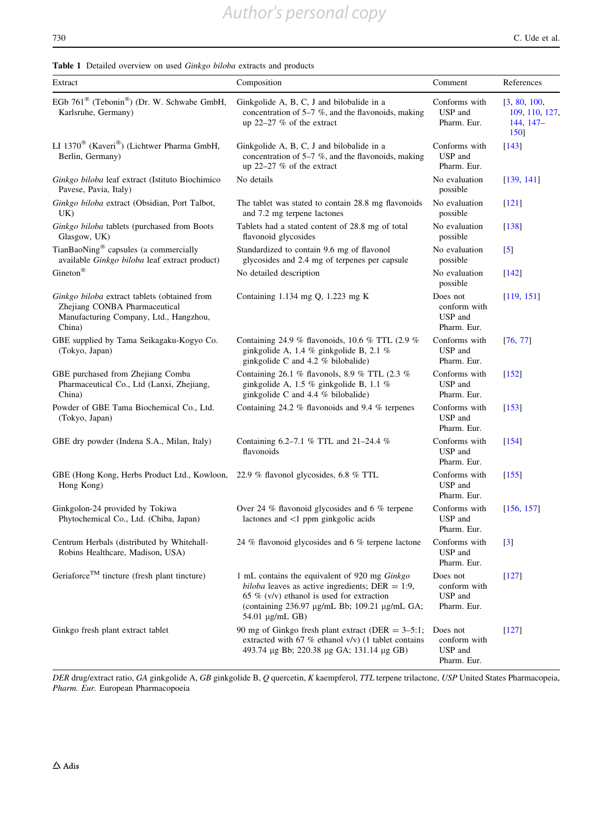<span id="page-3-0"></span>

|  |  | <b>Table 1</b> Detailed overview on used <i>Ginkgo biloba</i> extracts and products |  |  |  |  |  |  |  |
|--|--|-------------------------------------------------------------------------------------|--|--|--|--|--|--|--|
|--|--|-------------------------------------------------------------------------------------|--|--|--|--|--|--|--|

| Extract                                                                                                                           | Composition                                                                                                                                                                                                                | Comment                                            | References                                                  |
|-----------------------------------------------------------------------------------------------------------------------------------|----------------------------------------------------------------------------------------------------------------------------------------------------------------------------------------------------------------------------|----------------------------------------------------|-------------------------------------------------------------|
| EGb 761 <sup>®</sup> (Tebonin <sup>®</sup> ) (Dr. W. Schwabe GmbH,<br>Karlsruhe, Germany)                                         | Ginkgolide A, B, C, J and bilobalide in a<br>concentration of $5-7$ %, and the flavonoids, making<br>up $22-27$ % of the extract                                                                                           | Conforms with<br>USP and<br>Pharm. Eur.            | [3, 80, 100]<br>109, 110, 127,<br>$144, 147-$<br><b>150</b> |
| LI 1370 <sup>®</sup> (Kaveri®) (Lichtwer Pharma GmbH,<br>Berlin, Germany)                                                         | Ginkgolide A, B, C, J and bilobalide in a<br>concentration of $5-7$ %, and the flavonoids, making<br>up 22-27 % of the extract                                                                                             | Conforms with<br>USP and<br>Pharm. Eur.            | $[143]$                                                     |
| Ginkgo biloba leaf extract (Istituto Biochimico<br>Pavese, Pavia, Italy)                                                          | No details                                                                                                                                                                                                                 | No evaluation<br>possible                          | [139, 141]                                                  |
| Ginkgo biloba extract (Obsidian, Port Talbot,<br>UK)                                                                              | The tablet was stated to contain 28.8 mg flavonoids<br>and 7.2 mg terpene lactones                                                                                                                                         | No evaluation<br>possible                          | $[121]$                                                     |
| Ginkgo biloba tablets (purchased from Boots<br>Glasgow, UK)                                                                       | Tablets had a stated content of 28.8 mg of total<br>flavonoid glycosides                                                                                                                                                   | No evaluation<br>possible                          | $[138]$                                                     |
| TianBaoNing® capsules (a commercially<br>available Ginkgo biloba leaf extract product)                                            | Standardized to contain 9.6 mg of flavonol<br>glycosides and 2.4 mg of terpenes per capsule                                                                                                                                | No evaluation<br>possible                          | $\left[5\right]$                                            |
| Gineton®                                                                                                                          | No detailed description                                                                                                                                                                                                    | No evaluation<br>possible                          | [142]                                                       |
| Ginkgo biloba extract tablets (obtained from<br>Zhejiang CONBA Pharmaceutical<br>Manufacturing Company, Ltd., Hangzhou,<br>China) | Containing 1.134 mg Q, 1.223 mg K                                                                                                                                                                                          | Does not<br>conform with<br>USP and<br>Pharm. Eur. | [119, 151]                                                  |
| GBE supplied by Tama Seikagaku-Kogyo Co.<br>(Tokyo, Japan)                                                                        | Containing 24.9 % flavonoids, 10.6 % TTL (2.9 %<br>ginkgolide A, 1.4 $%$ ginkgolide B, 2.1 $%$<br>ginkgolide C and 4.2 % bilobalide)                                                                                       | Conforms with<br>USP and<br>Pharm. Eur.            | [76, 77]                                                    |
| GBE purchased from Zhejiang Comba<br>Pharmaceutical Co., Ltd (Lanxi, Zhejiang,<br>China)                                          | Containing 26.1 % flavonols, 8.9 % TTL (2.3 %<br>ginkgolide A, 1.5 % ginkgolide B, 1.1 %<br>ginkgolide C and 4.4 % bilobalide)                                                                                             | Conforms with<br>USP and<br>Pharm. Eur.            | [152]                                                       |
| Powder of GBE Tama Biochemical Co., Ltd.<br>(Tokyo, Japan)                                                                        | Containing 24.2 % flavonoids and 9.4 % terpenes                                                                                                                                                                            | Conforms with<br>USP and<br>Pharm. Eur.            | [153]                                                       |
| GBE dry powder (Indena S.A., Milan, Italy)                                                                                        | Containing 6.2-7.1 % TTL and 21-24.4 %<br>flavonoids                                                                                                                                                                       | Conforms with<br>USP and<br>Pharm. Eur.            | [154]                                                       |
| GBE (Hong Kong, Herbs Product Ltd., Kowloon, 22.9 % flavonol glycosides, 6.8 % TTL<br>Hong Kong)                                  |                                                                                                                                                                                                                            | Conforms with<br>USP and<br>Pharm. Eur.            | [155]                                                       |
| Ginkgolon-24 provided by Tokiwa<br>Phytochemical Co., Ltd. (Chiba, Japan)                                                         | Over 24 $%$ flavonoid glycosides and 6 $%$ terpene<br>lactones and <1 ppm ginkgolic acids                                                                                                                                  | Conforms with<br>USP and<br>Pharm. Eur.            | [156, 157]                                                  |
| Centrum Herbals (distributed by Whitehall-<br>Robins Healthcare, Madison, USA)                                                    | 24 % flavonoid glycosides and 6 % terpene lactone                                                                                                                                                                          | Conforms with<br>USP and<br>Pharm. Eur.            | $[3]$                                                       |
| Geriaforce <sup>TM</sup> tincture (fresh plant tincture)                                                                          | 1 mL contains the equivalent of 920 mg Ginkgo<br><i>biloba</i> leaves as active ingredients; DER = 1:9,<br>65 % $(v/v)$ ethanol is used for extraction<br>(containing 236.97 µg/mL Bb; 109.21 µg/mL GA;<br>54.01 μg/mL GB) | Does not<br>conform with<br>USP and<br>Pharm. Eur. | [127]                                                       |
| Ginkgo fresh plant extract tablet                                                                                                 | 90 mg of Ginkgo fresh plant extract (DER = $3-5:1$ ;<br>extracted with 67 % ethanol $v/v$ ) (1 tablet contains<br>493.74 μg Bb; 220.38 μg GA; 131.14 μg GB)                                                                | Does not<br>conform with<br>USP and<br>Pharm. Eur. | [127]                                                       |

DER drug/extract ratio, GA ginkgolide A, GB ginkgolide B, Q quercetin, K kaempferol, TTL terpene trilactone, USP United States Pharmacopeia, Pharm. Eur. European Pharmacopoeia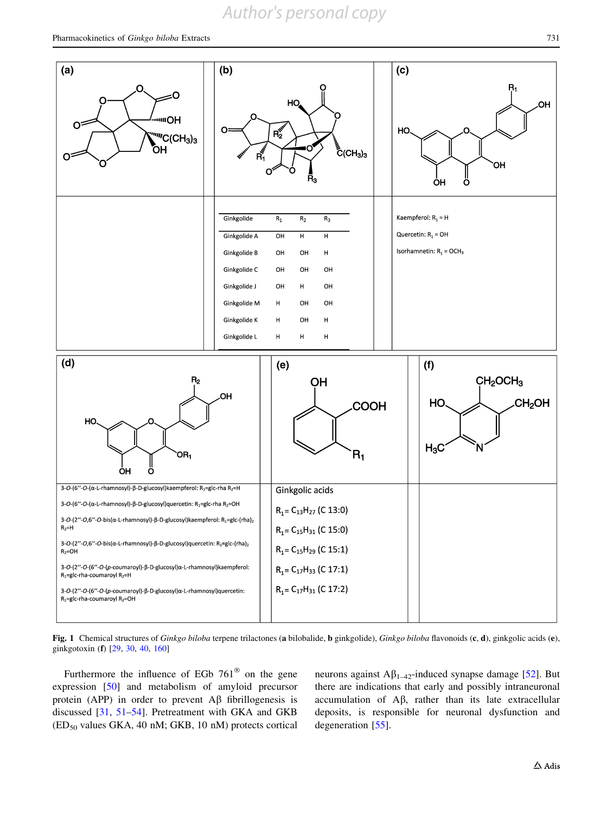## *Author's personal copy*

<span id="page-4-0"></span>

Fig. 1 Chemical structures of Ginkgo biloba terpene trilactones (a bilobalide, b ginkgolide), Ginkgo biloba flavonoids (c, d), ginkgolic acids (e), ginkgotoxin (f) [\[29](#page-18-0), [30,](#page-18-0) [40](#page-19-0), [160\]](#page-22-0)

Furthermore the influence of EGb  $761^{\circ}$  on the gene expression [[50](#page-19-0)] and metabolism of amyloid precursor protein (APP) in order to prevent  $\overrightarrow{AB}$  fibrillogenesis is discussed [\[31](#page-18-0), [51–54\]](#page-19-0). Pretreatment with GKA and GKB  $(ED<sub>50</sub>$  values GKA, 40 nM; GKB, 10 nM) protects cortical neurons against  $A\beta_{1-42}$ -induced synapse damage [[52\]](#page-19-0). But there are indications that early and possibly intraneuronal accumulation of  $\text{A}\beta$ , rather than its late extracellular deposits, is responsible for neuronal dysfunction and degeneration [[55\]](#page-19-0).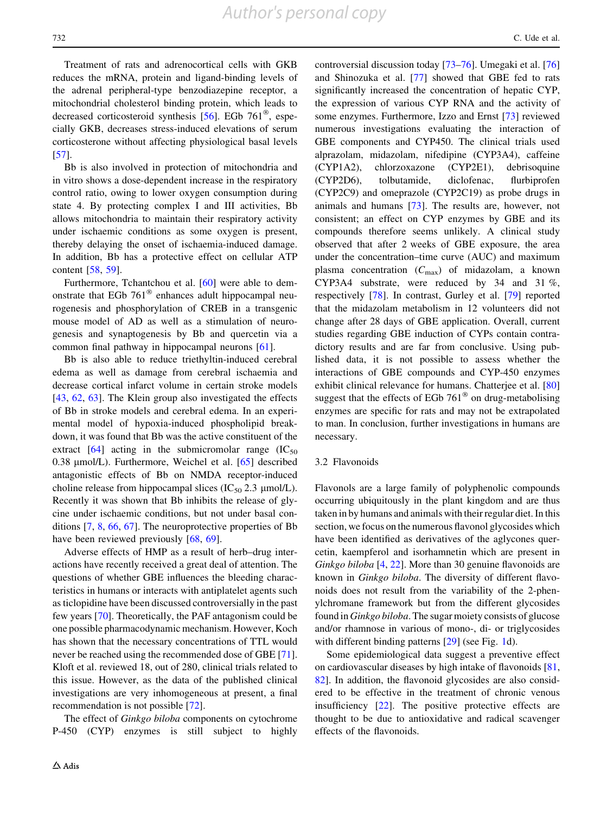Treatment of rats and adrenocortical cells with GKB reduces the mRNA, protein and ligand-binding levels of the adrenal peripheral-type benzodiazepine receptor, a mitochondrial cholesterol binding protein, which leads to decreased corticosteroid synthesis [\[56](#page-19-0)]. EGb  $761^{\circ}$ , especially GKB, decreases stress-induced elevations of serum corticosterone without affecting physiological basal levels [\[57](#page-19-0)].

Bb is also involved in protection of mitochondria and in vitro shows a dose-dependent increase in the respiratory control ratio, owing to lower oxygen consumption during state 4. By protecting complex I and III activities, Bb allows mitochondria to maintain their respiratory activity under ischaemic conditions as some oxygen is present, thereby delaying the onset of ischaemia-induced damage. In addition, Bb has a protective effect on cellular ATP content [\[58](#page-19-0), [59\]](#page-19-0).

Furthermore, Tchantchou et al. [[60\]](#page-19-0) were able to demonstrate that EGb  $761^{\circ\circ}$  enhances adult hippocampal neurogenesis and phosphorylation of CREB in a transgenic mouse model of AD as well as a stimulation of neurogenesis and synaptogenesis by Bb and quercetin via a common final pathway in hippocampal neurons [\[61](#page-19-0)].

Bb is also able to reduce triethyltin-induced cerebral edema as well as damage from cerebral ischaemia and decrease cortical infarct volume in certain stroke models [\[43](#page-19-0), [62](#page-19-0), [63\]](#page-19-0). The Klein group also investigated the effects of Bb in stroke models and cerebral edema. In an experimental model of hypoxia-induced phospholipid breakdown, it was found that Bb was the active constituent of the extract  $[64]$  $[64]$  acting in the submicromolar range  $(IC_{50}$ 0.38  $\mu$ mol/L). Furthermore, Weichel et al. [[65\]](#page-19-0) described antagonistic effects of Bb on NMDA receptor-induced choline release from hippocampal slices ( $IC_{50}$  2.3 µmol/L). Recently it was shown that Bb inhibits the release of glycine under ischaemic conditions, but not under basal conditions [\[7](#page-18-0), [8,](#page-18-0) [66](#page-19-0), [67\]](#page-19-0). The neuroprotective properties of Bb have been reviewed previously  $[68, 69]$  $[68, 69]$  $[68, 69]$  $[68, 69]$ .

Adverse effects of HMP as a result of herb–drug interactions have recently received a great deal of attention. The questions of whether GBE influences the bleeding characteristics in humans or interacts with antiplatelet agents such as ticlopidine have been discussed controversially in the past few years [\[70](#page-19-0)]. Theoretically, the PAF antagonism could be one possible pharmacodynamic mechanism. However, Koch has shown that the necessary concentrations of TTL would never be reached using the recommended dose of GBE [\[71](#page-19-0)]. Kloft et al. reviewed 18, out of 280, clinical trials related to this issue. However, as the data of the published clinical investigations are very inhomogeneous at present, a final recommendation is not possible [[72\]](#page-19-0).

The effect of *Ginkgo biloba* components on cytochrome P-450 (CYP) enzymes is still subject to highly controversial discussion today [\[73–76](#page-20-0)]. Umegaki et al. [[76\]](#page-20-0) and Shinozuka et al. [\[77](#page-20-0)] showed that GBE fed to rats significantly increased the concentration of hepatic CYP, the expression of various CYP RNA and the activity of some enzymes. Furthermore, Izzo and Ernst [\[73](#page-20-0)] reviewed numerous investigations evaluating the interaction of GBE components and CYP450. The clinical trials used alprazolam, midazolam, nifedipine (CYP3A4), caffeine (CYP1A2), chlorzoxazone (CYP2E1), debrisoquine (CYP2D6), tolbutamide, diclofenac, flurbiprofen (CYP2C9) and omeprazole (CYP2C19) as probe drugs in animals and humans [[73\]](#page-20-0). The results are, however, not consistent; an effect on CYP enzymes by GBE and its compounds therefore seems unlikely. A clinical study observed that after 2 weeks of GBE exposure, the area under the concentration–time curve (AUC) and maximum plasma concentration  $(C_{\text{max}})$  of midazolam, a known CYP3A4 substrate, were reduced by 34 and 31 %, respectively [\[78](#page-20-0)]. In contrast, Gurley et al. [\[79](#page-20-0)] reported that the midazolam metabolism in 12 volunteers did not change after 28 days of GBE application. Overall, current studies regarding GBE induction of CYPs contain contradictory results and are far from conclusive. Using published data, it is not possible to assess whether the interactions of GBE compounds and CYP-450 enzymes exhibit clinical relevance for humans. Chatterjee et al. [[80\]](#page-20-0) suggest that the effects of EGb  $761^{\circ}$  on drug-metabolising enzymes are specific for rats and may not be extrapolated to man. In conclusion, further investigations in humans are necessary.

#### 3.2 Flavonoids

Flavonols are a large family of polyphenolic compounds occurring ubiquitously in the plant kingdom and are thus taken in by humans and animals with their regular diet. In this section, we focus on the numerous flavonol glycosides which have been identified as derivatives of the aglycones quercetin, kaempferol and isorhamnetin which are present in Ginkgo biloba [\[4](#page-18-0), [22](#page-18-0)]. More than 30 genuine flavonoids are known in Ginkgo biloba. The diversity of different flavonoids does not result from the variability of the 2-phenylchromane framework but from the different glycosides found in Ginkgo biloba. The sugar moiety consists of glucose and/or rhamnose in various of mono-, di- or triglycosides with different binding patterns [\[29](#page-18-0)] (see Fig. [1](#page-4-0)d).

Some epidemiological data suggest a preventive effect on cardiovascular diseases by high intake of flavonoids [[81,](#page-20-0) [82](#page-20-0)]. In addition, the flavonoid glycosides are also considered to be effective in the treatment of chronic venous insufficiency [[22\]](#page-18-0). The positive protective effects are thought to be due to antioxidative and radical scavenger effects of the flavonoids.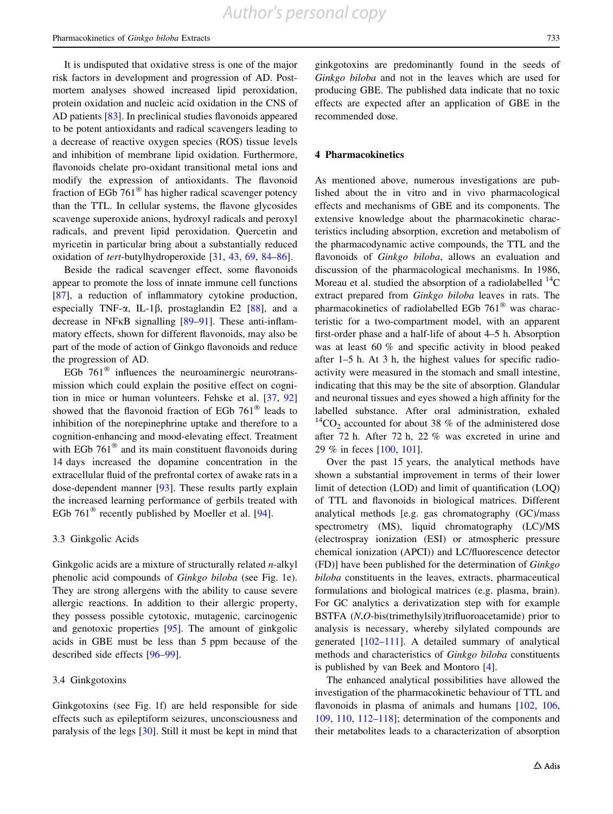It is undisputed that oxidative stress is one of the major risk factors in development and progression of AD. Postmortem analyses showed increased lipid peroxidation, protein oxidation and nucleic acid oxidation in the CNS of AD patients [[83\]](#page-20-0). In preclinical studies flavonoids appeared to be potent antioxidants and radical scavengers leading to a decrease of reactive oxygen species (ROS) tissue levels and inhibition of membrane lipid oxidation. Furthermore, flavonoids chelate pro-oxidant transitional metal ions and modify the expression of antioxidants. The flavonoid fraction of EGb  $761^{\circ}$  has higher radical scavenger potency than the TTL. In cellular systems, the flavone glycosides scavenge superoxide anions, hydroxyl radicals and peroxyl radicals, and prevent lipid peroxidation. Quercetin and myricetin in particular bring about a substantially reduced oxidation of tert-butylhydroperoxide [[31,](#page-18-0) [43](#page-19-0), [69](#page-19-0), [84](#page-20-0)–[86\]](#page-20-0).

Beside the radical scavenger effect, some flavonoids appear to promote the loss of innate immune cell functions [\[87](#page-20-0)], a reduction of inflammatory cytokine production, especially TNF- $\alpha$ , IL-1 $\beta$ , prostaglandin E2 [\[88](#page-20-0)], and a decrease in NF $\kappa$ B signalling [\[89–91](#page-20-0)]. These anti-inflammatory effects, shown for different flavonoids, may also be part of the mode of action of Ginkgo flavonoids and reduce the progression of AD.

EGb  $761^{\circ}$  influences the neuroaminergic neurotransmission which could explain the positive effect on cognition in mice or human volunteers. Fehske et al. [\[37](#page-19-0), [92\]](#page-20-0) showed that the flavonoid fraction of EGb  $761^{\circ}$  leads to inhibition of the norepinephrine uptake and therefore to a cognition-enhancing and mood-elevating effect. Treatment with EGb  $761^{\circ\circ}$  and its main constituent flavonoids during 14 days increased the dopamine concentration in the extracellular fluid of the prefrontal cortex of awake rats in a dose-dependent manner [[93\]](#page-20-0). These results partly explain the increased learning performance of gerbils treated with EGb 761 $^{\circ}$  recently published by Moeller et al. [\[94](#page-20-0)].

#### 3.3 Ginkgolic Acids

Ginkgolic acids are a mixture of structurally related n-alkyl phenolic acid compounds of Ginkgo biloba (see Fig. [1e](#page-4-0)). They are strong allergens with the ability to cause severe allergic reactions. In addition to their allergic property, they possess possible cytotoxic, mutagenic, carcinogenic and genotoxic properties [[95\]](#page-20-0). The amount of ginkgolic acids in GBE must be less than 5 ppm because of the described side effects [[96–99](#page-20-0)].

#### 3.4 Ginkgotoxins

Ginkgotoxins (see Fig. [1](#page-4-0)f) are held responsible for side effects such as epileptiform seizures, unconsciousness and paralysis of the legs [\[30](#page-18-0)]. Still it must be kept in mind that ginkgotoxins are predominantly found in the seeds of Ginkgo biloba and not in the leaves which are used for producing GBE. The published data indicate that no toxic effects are expected after an application of GBE in the recommended dose.

#### 4 Pharmacokinetics

As mentioned above, numerous investigations are published about the in vitro and in vivo pharmacological effects and mechanisms of GBE and its components. The extensive knowledge about the pharmacokinetic characteristics including absorption, excretion and metabolism of the pharmacodynamic active compounds, the TTL and the flavonoids of Ginkgo biloba, allows an evaluation and discussion of the pharmacological mechanisms. In 1986, Moreau et al. studied the absorption of a radiolabelled  $^{14}C$ extract prepared from Ginkgo biloba leaves in rats. The pharmacokinetics of radiolabelled EGb  $761^{\circ}$  was characteristic for a two-compartment model, with an apparent first-order phase and a half-life of about 4–5 h. Absorption was at least 60 % and specific activity in blood peaked after 1–5 h. At 3 h, the highest values for specific radioactivity were measured in the stomach and small intestine, indicating that this may be the site of absorption. Glandular and neuronal tissues and eyes showed a high affinity for the labelled substance. After oral administration, exhaled  ${}^{14}CO_2$  accounted for about 38 % of the administered dose after 72 h. After 72 h, 22 % was excreted in urine and 29 % in feces [\[100](#page-20-0), [101](#page-20-0)].

Over the past 15 years, the analytical methods have shown a substantial improvement in terms of their lower limit of detection (LOD) and limit of quantification (LOQ) of TTL and flavonoids in biological matrices. Different analytical methods [e.g. gas chromatography (GC)/mass spectrometry (MS), liquid chromatography (LC)/MS (electrospray ionization (ESI) or atmospheric pressure chemical ionization (APCI)) and LC/fluorescence detector (FD)] have been published for the determination of Ginkgo biloba constituents in the leaves, extracts, pharmaceutical formulations and biological matrices (e.g. plasma, brain). For GC analytics a derivatization step with for example BSTFA (N,O-bis(trimethylsily)trifluoroacetamide) prior to analysis is necessary, whereby silylated compounds are generated [[102–111\]](#page-20-0). A detailed summary of analytical methods and characteristics of Ginkgo biloba constituents is published by van Beek and Montoro [[4\]](#page-18-0).

The enhanced analytical possibilities have allowed the investigation of the pharmacokinetic behaviour of TTL and flavonoids in plasma of animals and humans [[102,](#page-20-0) [106,](#page-20-0) [109](#page-20-0), [110,](#page-20-0) [112–](#page-20-0)[118\]](#page-21-0); determination of the components and their metabolites leads to a characterization of absorption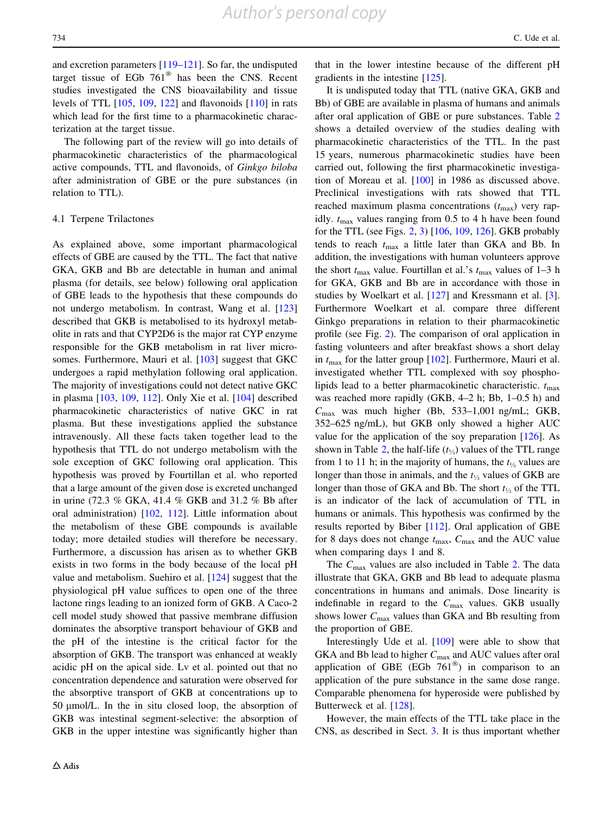and excretion parameters [[119–121\]](#page-21-0). So far, the undisputed target tissue of EGb  $761^{\circ}$  has been the CNS. Recent studies investigated the CNS bioavailability and tissue levels of TTL [[105,](#page-20-0) [109](#page-20-0), [122](#page-21-0)] and flavonoids [\[110](#page-20-0)] in rats which lead for the first time to a pharmacokinetic characterization at the target tissue.

The following part of the review will go into details of pharmacokinetic characteristics of the pharmacological active compounds, TTL and flavonoids, of Ginkgo biloba after administration of GBE or the pure substances (in relation to TTL).

#### 4.1 Terpene Trilactones

As explained above, some important pharmacological effects of GBE are caused by the TTL. The fact that native GKA, GKB and Bb are detectable in human and animal plasma (for details, see below) following oral application of GBE leads to the hypothesis that these compounds do not undergo metabolism. In contrast, Wang et al. [[123\]](#page-21-0) described that GKB is metabolised to its hydroxyl metabolite in rats and that CYP2D6 is the major rat CYP enzyme responsible for the GKB metabolism in rat liver micro-somes. Furthermore, Mauri et al. [[103\]](#page-20-0) suggest that GKC undergoes a rapid methylation following oral application. The majority of investigations could not detect native GKC in plasma [[103,](#page-20-0) [109](#page-20-0), [112](#page-20-0)]. Only Xie et al. [\[104](#page-20-0)] described pharmacokinetic characteristics of native GKC in rat plasma. But these investigations applied the substance intravenously. All these facts taken together lead to the hypothesis that TTL do not undergo metabolism with the sole exception of GKC following oral application. This hypothesis was proved by Fourtillan et al. who reported that a large amount of the given dose is excreted unchanged in urine (72.3 % GKA, 41.4 % GKB and 31.2 % Bb after oral administration) [[102,](#page-20-0) [112\]](#page-20-0). Little information about the metabolism of these GBE compounds is available today; more detailed studies will therefore be necessary. Furthermore, a discussion has arisen as to whether GKB exists in two forms in the body because of the local pH value and metabolism. Suehiro et al. [\[124\]](#page-21-0) suggest that the physiological pH value suffices to open one of the three lactone rings leading to an ionized form of GKB. A Caco-2 cell model study showed that passive membrane diffusion dominates the absorptive transport behaviour of GKB and the pH of the intestine is the critical factor for the absorption of GKB. The transport was enhanced at weakly acidic pH on the apical side. Lv et al. pointed out that no concentration dependence and saturation were observed for the absorptive transport of GKB at concentrations up to 50 µmol/L. In the in situ closed loop, the absorption of GKB was intestinal segment-selective: the absorption of GKB in the upper intestine was significantly higher than

that in the lower intestine because of the different pH gradients in the intestine [[125](#page-21-0)].

It is undisputed today that TTL (native GKA, GKB and Bb) of GBE are available in plasma of humans and animals after oral application of GBE or pure substances. Table [2](#page-8-0) shows a detailed overview of the studies dealing with pharmacokinetic characteristics of the TTL. In the past 15 years, numerous pharmacokinetic studies have been carried out, following the first pharmacokinetic investigation of Moreau et al. [\[100](#page-20-0)] in 1986 as discussed above. Preclinical investigations with rats showed that TTL reached maximum plasma concentrations  $(t_{\text{max}})$  very rapidly.  $t_{\text{max}}$  values ranging from 0.5 to 4 h have been found for the TTL (see Figs. [2,](#page-11-0) [3\)](#page-12-0) [[106,](#page-20-0) [109,](#page-20-0) [126\]](#page-21-0). GKB probably tends to reach  $t_{\text{max}}$  a little later than GKA and Bb. In addition, the investigations with human volunteers approve the short  $t_{\text{max}}$  value. Fourtillan et al.'s  $t_{\text{max}}$  values of 1–3 h for GKA, GKB and Bb are in accordance with those in studies by Woelkart et al. [[127](#page-21-0)] and Kressmann et al. [\[3](#page-18-0)]. Furthermore Woelkart et al. compare three different Ginkgo preparations in relation to their pharmacokinetic profile (see Fig. [2](#page-11-0)). The comparison of oral application in fasting volunteers and after breakfast shows a short delay in  $t_{\text{max}}$  for the latter group [\[102](#page-20-0)]. Furthermore, Mauri et al. investigated whether TTL complexed with soy phospholipids lead to a better pharmacokinetic characteristic.  $t_{\text{max}}$ was reached more rapidly (GKB, 4–2 h; Bb, 1–0.5 h) and  $C_{\text{max}}$  was much higher (Bb, 533–1,001 ng/mL; GKB, 352–625 ng/mL), but GKB only showed a higher AUC value for the application of the soy preparation [[126\]](#page-21-0). As shown in Table [2,](#page-8-0) the half-life  $(t_{1/2})$  values of the TTL range from 1 to 11 h; in the majority of humans, the  $t_{\frac{1}{2}}$  values are longer than those in animals, and the  $t_{\frac{1}{2}}$  values of GKB are longer than those of GKA and Bb. The short  $t_{\frac{1}{2}}$  of the TTL is an indicator of the lack of accumulation of TTL in humans or animals. This hypothesis was confirmed by the results reported by Biber [[112\]](#page-20-0). Oral application of GBE for 8 days does not change  $t_{\text{max}}$ ,  $C_{\text{max}}$  and the AUC value when comparing days 1 and 8.

The  $C_{\text{max}}$  values are also included in Table [2.](#page-8-0) The data illustrate that GKA, GKB and Bb lead to adequate plasma concentrations in humans and animals. Dose linearity is indefinable in regard to the  $C_{\text{max}}$  values. GKB usually shows lower  $C_{\text{max}}$  values than GKA and Bb resulting from the proportion of GBE.

Interestingly Ude et al. [\[109](#page-20-0)] were able to show that GKA and Bb lead to higher  $C_{\text{max}}$  and AUC values after oral application of GBE (EGb  $761^{\circledR}$ ) in comparison to an application of the pure substance in the same dose range. Comparable phenomena for hyperoside were published by Butterweck et al. [[128\]](#page-21-0).

However, the main effects of the TTL take place in the CNS, as described in Sect. [3](#page-2-0). It is thus important whether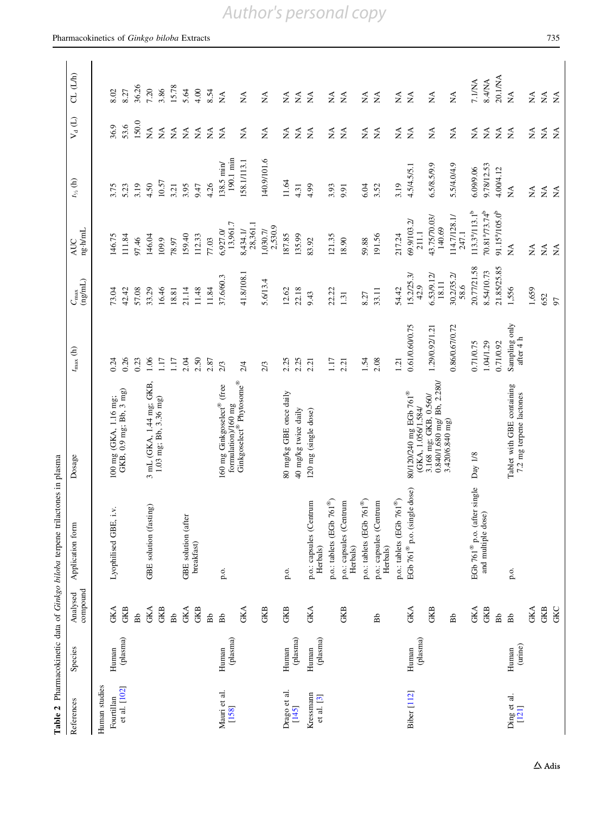<span id="page-8-0"></span>

|                         |                   |                      | Table 2 Pharmacokinetic data of Ginkgo biloba terpene trilactones in plasma |                                                          |                                     |                                  |                                        |                                |                                |                                |
|-------------------------|-------------------|----------------------|-----------------------------------------------------------------------------|----------------------------------------------------------|-------------------------------------|----------------------------------|----------------------------------------|--------------------------------|--------------------------------|--------------------------------|
| References              | Species           | compound<br>Analysed | Application form                                                            | Dosage                                                   | $t_{\rm max}$ (h)                   | $(\mathrm{ng/mL})$<br>$C_{\max}$ | $ng\!\cdot\!h\!/mL$<br>AUC             | $t_{\nu_a}$ (h)                | $V_d(L)$                       | CL (L/h)                       |
| Human studies           |                   |                      |                                                                             |                                                          |                                     |                                  |                                        |                                |                                |                                |
| Fourtillan              | Human             | <b>GKA</b>           | $\ddot{N}$<br>Lyophilised GBE,                                              | 100 mg (GKA, 1.16 mg;<br>GKB, 0.9 mg; Bb, 3 mg)          | 0.24                                | 73.04                            | 146.75                                 | 3.75                           | 36.9                           | 8.02                           |
| et al. [102]            | (plasma)          | GKB                  |                                                                             |                                                          | 0.26                                | 42.42                            | 111.84                                 | 5.23                           | 53.6                           | 8.27                           |
|                         |                   | Bb                   |                                                                             |                                                          | 0.23                                | 57.08                            | 97.46                                  | 3.19                           | 150.0                          | 36.26                          |
|                         |                   | GKA                  | GBE solution (fasting)                                                      | 3 mL (GKA, 1.44 mg; GKB,                                 | 1.06                                | 33.29                            | 146.04                                 | 4.50                           | $\lesssim$                     | 7.20                           |
|                         |                   | GKB                  |                                                                             | 1.03 mg; Bb, 3.36 mg)                                    | 1.17                                | 16.46                            | 109.9                                  | 10.57                          | $\leq$                         | 3.86                           |
|                         |                   | Bb                   |                                                                             |                                                          | 1.17                                | 18.81                            | 78.97                                  | 3.21                           | $\mathop{\mathsf{X}}\nolimits$ | 15.78                          |
|                         |                   | <b>GKA</b>           | GBE solution (after                                                         |                                                          | 2.04                                | 21.14                            | 159.40                                 | 3.95                           | $\lessgtr$                     | 5.64                           |
|                         |                   | GKB                  | breakfast)                                                                  |                                                          | 2.50                                | 11.48                            | 112.33                                 | 9.47                           | $\lessapprox$                  | 4.00                           |
|                         |                   | Bb                   |                                                                             |                                                          | 2.87                                | 11.84                            | 77.03                                  | 4.26                           | $\tilde{z}$                    | 8.54                           |
| Mauri et al.<br>[158]   | (plasma)<br>Human | Bb                   | p.o.                                                                        | 160 mg Ginkgoselect® (free<br>formulation)/160 mg        | 2/3                                 | 37.6/60.3                        | 13,961.7<br>6,927.0/                   | 190.1 min<br>138.5 min/        | $\tilde{z}$                    | $\lessapprox$                  |
|                         |                   | GKA                  |                                                                             | Ginkgoselect® Phytosome®                                 | 2/4                                 | 41.8/108.1                       | 28,361.1<br>8,434.1/                   | 158.1/113.1                    | $\mathbb{X}^{\mathbb{A}}$      | $\mathbb{E}$                   |
|                         |                   | GKB                  |                                                                             |                                                          | 2/3                                 | 5.6/13.4                         | 2,530.9<br>1,030.7/                    | 140.9/101.6                    | $\lessapprox$                  | $\lessapprox$                  |
| Drago et al.            | Human             | GKB                  | p.o.                                                                        | 80 mg/kg GBE once daily                                  | 2.25                                | 12.62                            | 187.85                                 | 11.64                          | $\sum_{i=1}^{n}$               | $\mathbb{X}^{\mathsf{A}}$      |
| [145]                   | (plasma)          |                      |                                                                             | 40 mg/kg twice daily                                     | 2.25                                | 22.18                            | 135.99                                 | 4.31                           | $\mathbb A$                    | $\lessapprox$                  |
| Kressmann<br>et al. [3] | (plasma)<br>Human | <b>GKA</b>           | p.o.: capsules (Centrum<br>Herbals)                                         | 120 mg (single dose)                                     | 2.21                                | 9.43                             | 83.92                                  | 4.99                           | $\tilde{z}$                    | $\tilde{z}$                    |
|                         |                   |                      | $761^{\circledR})$<br>p.o.: tablets (EGb                                    |                                                          | 1.17                                | 22.22                            | 121.35                                 | 3.93                           | $\tilde{z}$                    | $\lessapprox$                  |
|                         |                   | GKB                  | p.o.: capsules (Centrum<br>Herbals)                                         |                                                          | 2.21                                | 1.31                             | 18.90                                  | 9.91                           | $\lessapprox$                  | $\tilde{\mathbf{X}}$           |
|                         |                   |                      | $761^\circledR)$<br>p.o.: tablets (EGb                                      |                                                          | $1.54\,$                            | 8.27                             | 59.88                                  | 6.04                           | $\mathbb{X}^{\mathbb{A}}$      | $\stackrel{\triangle}{\Sigma}$ |
|                         |                   | Bb                   | p.o.: capsules (Centrum<br>Herbals)                                         |                                                          | 2.08                                | 33.11                            | 191.56                                 | 3.52                           | $\tilde{z}$                    | $\lessapprox$                  |
|                         |                   |                      | $761^\circ$<br>p.o.: tablets (EGb                                           |                                                          | 1.21                                | 54.42                            | 217.24                                 | 3.19                           | $\sum_{i=1}^{n}$               | $\lessapprox$                  |
| Biber [112]             | (plasma)<br>Human | <b>GKA</b>           | EGb 761 $^{\circledR}$ p.o. (single dose)                                   | 80/120/240 mg EGb 761 <sup>®</sup><br>(GKA, 1.056/1.584/ | 0.61/0.60/0.75                      | 15.2/25.3/<br>42.9               | 69.9/103.2/<br>211.1                   | 4.5/4.5/5.1                    | $\tilde{z}$                    | $\tilde{z}$                    |
|                         |                   | GKB                  |                                                                             | 0.840/1.680 mg/ Bb, 2.280/<br>3.168 mg; GKB, 0.560/      | 1.29/0.92/1.21                      | 6.53/9.12/<br>18.11              | 43.75/70.03/<br>140.69                 | 6.5/8.5/9.9                    | $\lessapprox$                  | $\lessapprox$                  |
|                         |                   | Bb                   |                                                                             | 3.420/6.840 mg)                                          | 0.86/0.67/0.72                      | 30.2/35.2/<br>58.6               | 114.7/128.1/<br>247.1                  | 5.5/4.0/4.9                    | $\frac{1}{2}$                  | $\lesssim$                     |
|                         |                   | <b>GKA</b>           | EGb 761 <sup>®</sup> p.o. (after single                                     | Day 1/8                                                  | 0.71/0.75                           | 20.77/21.58                      | $113.3^a/113.1^b$                      | 6.09/9.06                      | $\sum_{i=1}^{n}$               | 7.1/NA                         |
|                         |                   | GKB                  | and multiple dose)                                                          |                                                          | 1.04/1.29                           | 8.54/10.73                       | 70.81 <sup>a</sup> /73.74 <sup>b</sup> | 9.78/12.53                     | $\tilde{z}$                    | 8.4/NA                         |
|                         |                   | Bb                   |                                                                             |                                                          | 0.71/0.92                           | 21.85/25.85                      | 91.15 <sup>a</sup> /105.0 <sup>b</sup> | 4.00/4.12                      | $\leq$                         | 20.1/NA                        |
| Ding et al.<br>[121]    | (urine)<br>Human  | Bb                   | p.o.                                                                        | Tablet with GBE containing<br>7.2 mg terpene lactones    | Sampling only after $4\ \mathrm{h}$ | 1,556                            | $\frac{1}{2}$                          | $\tilde{\mathbf{X}}$           | $\tilde{\mathbf{z}}$           | $\lessapprox$                  |
|                         |                   | <b>GKA</b>           |                                                                             |                                                          |                                     | 1,659                            | $\lessapprox$                          | $\mathbb{A}$                   | $\mathbb{X}^{\mathsf{A}}$      | ÁN                             |
|                         |                   | GKB                  |                                                                             |                                                          |                                     | 652                              | $\lesssim$                             | $\mathop{\mathsf{X}}\nolimits$ | $\stackrel{\triangle}{\geq}$   | $\stackrel{\triangle}{\simeq}$ |
|                         |                   | <b>GKC</b>           |                                                                             |                                                          |                                     | 97                               | $\tilde{z}$                            | $\lessapprox$                  | $\tilde{z}$                    | $\tilde{z}$                    |

# *Author's personal copy*

 $\Delta$ Adis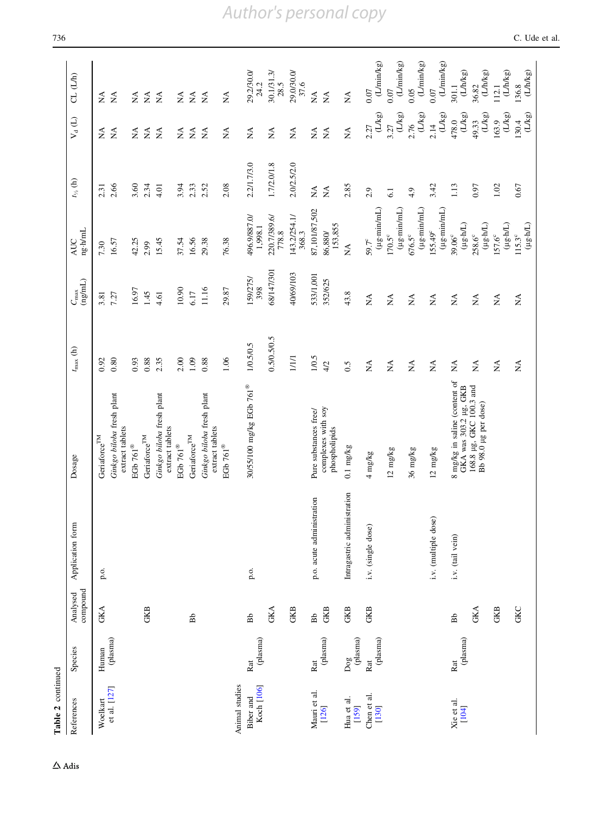| Table 2 continued       |                                      |                      |                             |                                                                          |                                          |                                                     |                                                                   |                                |                                                  |                                |
|-------------------------|--------------------------------------|----------------------|-----------------------------|--------------------------------------------------------------------------|------------------------------------------|-----------------------------------------------------|-------------------------------------------------------------------|--------------------------------|--------------------------------------------------|--------------------------------|
| References              | Species                              | compound<br>Analysed | Application form            | Dosage                                                                   | $t_{\rm max}$ (h)                        | $(\mathtt{m}\mathtt{g}\mathtt{m})$<br>$C_{\rm max}$ | $ng\cdot h/mL$<br>AUC                                             | $t_{\nu_a}$ (h)                | $\mathsf{V}_{\mathsf{d}}\left(\mathsf{L}\right)$ | CL (L/h)                       |
| Woelkart                | Human                                | <b>GKA</b>           | p.o.                        | Geria<br>force $^{\rm TM}$                                               | 0.92                                     | 3.81                                                | 7.30                                                              | 2.31                           | $\tilde{\mathbf{z}}$                             | $\sum_{i=1}^{n}$               |
| et al. [127]            | (plasma)                             |                      |                             | Ginkgo biloba fresh plant<br>extract tablets                             | 0.80                                     | 7.27                                                | 16.57                                                             | 2.66                           | $\tilde{\mathbf{z}}$                             | $\leq$                         |
|                         |                                      |                      |                             | EGb $761^\circledR$                                                      | 0.93                                     | 16.97                                               | 42.25                                                             | 3.60                           | $\mathbb{E}$                                     | $\mathbb{E}$                   |
|                         |                                      | GKB                  |                             | Geria<br>force $^{\rm TM}$                                               | 0.88                                     | 1.45                                                | 2.99                                                              | 2.34                           | $\tilde{z}$                                      | $\tilde{z}$                    |
|                         |                                      |                      |                             | Ginkgo biloba fresh plant<br>extract tablets                             | 2.35                                     | 4.61                                                | 15.45                                                             | 4.01                           | $\leq$                                           | $\leq$                         |
|                         |                                      |                      |                             | EGb $761^\circ$                                                          | 2.00                                     | 10.90                                               | 37.54                                                             | 3.94                           | $\lessapprox$                                    | $\lessgtr$                     |
|                         |                                      | Bb                   |                             | Geria<br>force $^{\rm TM}$                                               | 1.09                                     | 6.17                                                | 16.56                                                             | 2.33                           | $\tilde{z}$                                      | $\tilde{\mathbf{z}}$           |
|                         |                                      |                      |                             | Ginkgo biloba fresh plant<br>extract tablets                             | 0.88                                     | 11.16                                               | 29.38                                                             | 2.52                           | $\mathbf{\Sigma}$                                | $\mathbf{\Sigma}$              |
| Animal studies          |                                      |                      |                             | EGb $761^\circ$                                                          | 1.06                                     | 29.87                                               | 76.38                                                             | 2.08                           | $\lessapprox$                                    | $\stackrel{\Delta}{\simeq}$    |
| Koch [106]<br>Biber and | (plasma)<br>Rat                      | Bb                   | p.o.                        | $30/55/100$ mg/kg EGb $761^\circledast$                                  | 1/0.5/0.5                                | 159/275/                                            | 496.9/887.0/<br>1,998.1                                           | 2.2/1.7/3.0                    | $\lesssim$                                       | $29.2/30.0/$<br>$24.2$         |
|                         |                                      | <b>GKA</b>           |                             |                                                                          | 0.5/0.5/0.5                              | 68/147/301                                          | 220.7/389.6/<br>778.8                                             | 1.7/2.0/1.8                    | $\lessapprox$                                    | $\frac{30.1/31.3}{28.5}$       |
|                         |                                      | GKB                  |                             |                                                                          | 1/1/1                                    | 40/69/103                                           | 143.2/254.1/<br>368.3                                             | 2.0/2.5/2.0                    | $\lesssim$                                       | 29.0/30.0/<br>37.6             |
| Mauri et al.            | Rat                                  | Bb                   | p.o. acute administration   | Pure substances free/                                                    | 1/0.5                                    | 533/1,001                                           | 87,101/87,502                                                     | $\stackrel{\triangle}{\simeq}$ | $\mathbb{A}$                                     | $\stackrel{\triangle}{\Sigma}$ |
| [126]                   | (plasma)                             | GKB                  |                             | complexes with soy<br>phospholipids                                      | 4/2                                      | 352/625                                             | 153,855<br>86,880/                                                | $\mathbb{X}$                   | $\tilde{\mathbf{z}}$                             | $\lesssim$                     |
| Hua et al.<br>$[159]$   | $\frac{\text{Dog}}{(\text{plasma})}$ | GKB                  | Intragastric administration | $0.1 \text{ mg/kg}$                                                      | 6.5                                      | 43.8                                                | $\lessapprox$                                                     | 2.85                           | $\stackrel{\triangle}{\Sigma}$                   | $\stackrel{\triangle}{\Sigma}$ |
| Chen et al.<br>$[130]$  | (plasma)<br>Rat                      | GKB                  | i.v. (single dose)          | $4 \text{ mg/kg}$                                                        | $\lessapprox$                            | $\sum_{i=1}^{n}$                                    | $(\mu g \cdot \min / mL)$<br>$59.7^c$                             | 2.9                            | $(L/kg)$<br>2.27                                 | (L/min/kg)<br>0.07             |
|                         |                                      |                      |                             | 12 mg/kg                                                                 | $\mathbb{X}^{\mathsf{A}}$                | $\sum_{i=1}^{n}$                                    | (µg·min/mL)<br>$170.5^{\circ}$                                    | 6.1                            | $(\mathcal{L} \mathcal{L} \mathbf{g})$<br>3.27   | $0.07$ (L/min/kg)              |
|                         |                                      |                      |                             | 36 mg/kg                                                                 | $\mathbb{E}$                             | $\lesssim$                                          | (µg·min/mL)<br>$676.5^{\circ}$                                    | 4.9                            | (L/kg)<br>2.76                                   | $0.05$ (L/min/kg)              |
|                         |                                      |                      | i.v. (multiple dose)        | $12 \text{ mg/kg}$                                                       | $\lesssim$                               | $\lessapprox$                                       | (µg·min/mL)<br>$155.49^{\circ}$                                   | 3.42                           | (L/kg)<br>2.14                                   | (L/min/kg)<br>0.07             |
| Xie et al.<br>[104]     | (plasma)<br>Rat                      | Bb                   | i.v. (tail vein)            | 8 mg/kg in saline (content of                                            | $\stackrel{\triangle}{\geq}$             | $\sum_{i=1}^{n}$                                    | $(Hg \cdot M)$<br>39.06°                                          | 1.13                           | $^{478.0}_{(L/kg)}$                              | $301.1$<br>$(Lh/kg)$           |
|                         |                                      | <b>GKA</b>           |                             | GKA was 303.2 µg, GKB<br>168.8 µg, GKC 100.3 and<br>Bb 98.0 µg per dose) | $\mathbb{X}^{\mathsf{A}}$                | $\stackrel{\blacktriangle}{\ge}$                    | $(\mu g \!:\! h\!L)$<br>$258.6^{\circ}$                           | 0.97                           | $(L/kg)$<br>49.33                                | $\frac{36.82}{(LMkg)}$         |
|                         |                                      | GKB                  |                             |                                                                          | $\stackrel{\triangle}{\scriptstyle\sim}$ | $\stackrel{\triangle}{\scriptstyle\sim}$            | $(\mu \mathrm{g} \cdot \mathrm{h}/\mathrm{L})$<br>$157.6^{\circ}$ | 1.02                           | (L/kg)<br>163.9                                  | (L/h/kg)<br>112.1              |
|                         |                                      | <b>GKC</b>           |                             |                                                                          | ÁN                                       | $\stackrel{\triangle}{\simeq}$                      | $(\mu g \mathord{\cdot} M_{-})$<br>115.3°                         | 0.67                           | $(Lkg)$<br>130.4                                 | $\frac{136.8}{(LMkg)}$         |

## *Author's personal copy*

 $\Delta$ Adis

736 C. Ude et al.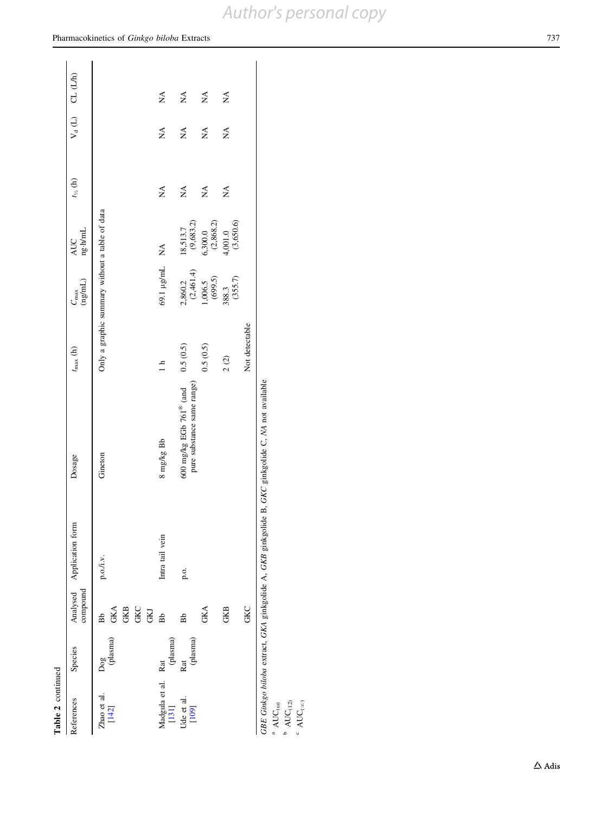# Table 2 continued

| Table 2 continued             |                 |                                       |                           |                                                                                                   |                                                |                       |                         |                       |   |                     |
|-------------------------------|-----------------|---------------------------------------|---------------------------|---------------------------------------------------------------------------------------------------|------------------------------------------------|-----------------------|-------------------------|-----------------------|---|---------------------|
| References                    | Species         | compound                              | Analysed Application form | Dosage                                                                                            | $t_{\rm max}$ (h)                              | (ng/mL)<br>$C_{\max}$ | ng·h/mL<br>AUC          | $t_{\frac{1}{2}}$ (h) |   | $V_d(L)$ CL $(L/h)$ |
| Zhao et al.<br>[142]          | (plasma)<br>Dog | <b>GKC</b><br>GKB<br><b>GKA</b><br>Bb | p.o./i.v.                 | Gineton                                                                                           | Only a graphic summary without a table of data |                       |                         |                       |   |                     |
|                               |                 | <b>GKJ</b>                            |                           |                                                                                                   |                                                |                       |                         |                       |   |                     |
| Madgula et al. Rat<br>$[131]$ | (plasma)        | Bb                                    | Intra tail vein           | $8 \text{ mg/kg}$ Bb                                                                              |                                                | 69.1 µg/mL            | Ź                       | Ź                     | Ź | Ź                   |
| Ude et al.<br>[109]           | (plasma)<br>Rat | Bb                                    | p.o.                      | pure substance same range)<br>600 mg/kg EGb 761 <sup>®</sup> (and                                 | 0.5(0.5)                                       | (2,461.4)<br>2,860.2  | $18,513.7$<br>(9,683.2) | Ź                     | Ź | Ź                   |
|                               |                 | GKA                                   |                           |                                                                                                   | 0.5(0.5)                                       | (699.5)<br>1,006.5    | $6,300.0$<br>(2,868.2)  | Ź                     | Ź | Ź                   |
|                               |                 | GKB                                   |                           |                                                                                                   | 2(2)                                           | $388.3$<br>$(355.7)$  | $4,001.0$<br>(3,650.6)  | Ź                     | Ź | Ź                   |
|                               |                 | <b>GKC</b>                            |                           |                                                                                                   | Not detectable                                 |                       |                         |                       |   |                     |
|                               |                 |                                       |                           | GBE Ginkgo biloba extract, GKA ginkgolide A, GKB ginkgolide B, GKC ginkgolide C, NA not available |                                                |                       |                         |                       |   |                     |

a AUC<sub>(20)</sub><br>b AUC<sub>(12)</sub><br>c AUC<sub>(20)</sub>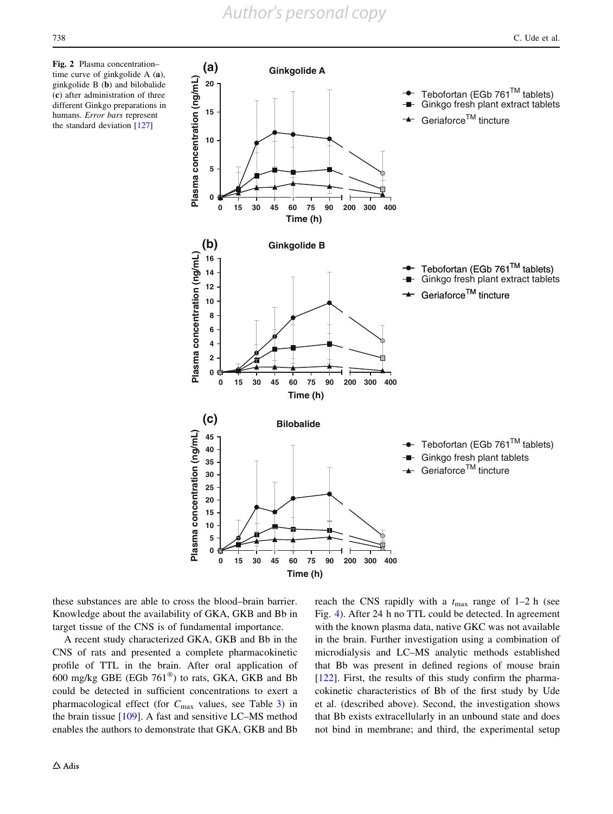<span id="page-11-0"></span>Fig. 2 Plasma concentration– time curve of ginkgolide A (a), ginkgolide B (b) and bilobalide (c) after administration of three different Ginkgo preparations in humans. Error bars represent the standard deviation [\[127\]](#page-21-0)



these substances are able to cross the blood–brain barrier. Knowledge about the availability of GKA, GKB and Bb in target tissue of the CNS is of fundamental importance.

A recent study characterized GKA, GKB and Bb in the CNS of rats and presented a complete pharmacokinetic profile of TTL in the brain. After oral application of 600 mg/kg GBE (EGb  $761^{\circledR}$ ) to rats, GKA, GKB and Bb could be detected in sufficient concentrations to exert a pharmacological effect (for  $C_{\text{max}}$  values, see Table [3\)](#page-12-0) in the brain tissue [\[109](#page-20-0)]. A fast and sensitive LC–MS method enables the authors to demonstrate that GKA, GKB and Bb reach the CNS rapidly with a  $t_{\text{max}}$  range of 1–2 h (see Fig. [4](#page-12-0)). After 24 h no TTL could be detected. In agreement with the known plasma data, native GKC was not available in the brain. Further investigation using a combination of microdialysis and LC–MS analytic methods established that Bb was present in defined regions of mouse brain [\[122](#page-21-0)]. First, the results of this study confirm the pharmacokinetic characteristics of Bb of the first study by Ude et al. (described above). Second, the investigation shows that Bb exists extracellularly in an unbound state and does not bind in membrane; and third, the experimental setup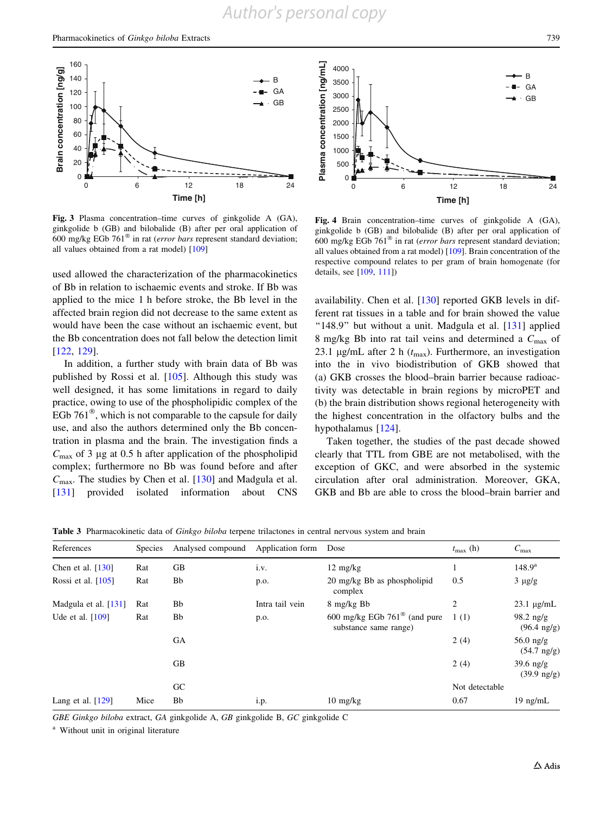<span id="page-12-0"></span>

Fig. 3 Plasma concentration–time curves of ginkgolide A (GA), ginkgolide b (GB) and bilobalide (B) after per oral application of 600 mg/kg EGb  $761^{\circ}$  in rat (*error bars* represent standard deviation; all values obtained from a rat model) [[109](#page-20-0)]

used allowed the characterization of the pharmacokinetics of Bb in relation to ischaemic events and stroke. If Bb was applied to the mice 1 h before stroke, the Bb level in the affected brain region did not decrease to the same extent as would have been the case without an ischaemic event, but the Bb concentration does not fall below the detection limit [\[122](#page-21-0), [129](#page-21-0)].

In addition, a further study with brain data of Bb was published by Rossi et al.  $[105]$  $[105]$ . Although this study was well designed, it has some limitations in regard to daily practice, owing to use of the phospholipidic complex of the EGb  $761^{\circ}$ , which is not comparable to the capsule for daily use, and also the authors determined only the Bb concentration in plasma and the brain. The investigation finds a  $C_{\text{max}}$  of 3 µg at 0.5 h after application of the phospholipid complex; furthermore no Bb was found before and after  $C_{\text{max}}$ . The studies by Chen et al. [[130\]](#page-21-0) and Madgula et al. [\[131](#page-21-0)] provided isolated information about CNS



Fig. 4 Brain concentration–time curves of ginkgolide A (GA), ginkgolide b (GB) and bilobalide (B) after per oral application of 600 mg/kg EGb 761<sup>®</sup> in rat (error bars represent standard deviation; all values obtained from a rat model) [[109\]](#page-20-0). Brain concentration of the respective compound relates to per gram of brain homogenate (for details, see [[109](#page-20-0), [111](#page-20-0)])

availability. Chen et al. [[130\]](#page-21-0) reported GKB levels in different rat tissues in a table and for brain showed the value "148.9" but without a unit. Madgula et al. [[131\]](#page-21-0) applied 8 mg/kg Bb into rat tail veins and determined a  $C_{\text{max}}$  of 23.1  $\mu$ g/mL after 2 h ( $t_{\text{max}}$ ). Furthermore, an investigation into the in vivo biodistribution of GKB showed that (a) GKB crosses the blood–brain barrier because radioactivity was detectable in brain regions by microPET and (b) the brain distribution shows regional heterogeneity with the highest concentration in the olfactory bulbs and the hypothalamus [[124\]](#page-21-0).

Taken together, the studies of the past decade showed clearly that TTL from GBE are not metabolised, with the exception of GKC, and were absorbed in the systemic circulation after oral administration. Moreover, GKA, GKB and Bb are able to cross the blood–brain barrier and

Table 3 Pharmacokinetic data of Ginkgo biloba terpene trilactones in central nervous system and brain

| References             | <b>Species</b> | Analysed compound | Application form | Dose                                                            | $t_{\text{max}}$ (h) | $C_{\rm max}$                        |
|------------------------|----------------|-------------------|------------------|-----------------------------------------------------------------|----------------------|--------------------------------------|
| Chen et al. $[130]$    | Rat            | GB                | i.v.             | $12 \text{ mg/kg}$                                              |                      | $148.9^{a}$                          |
| Rossi et al. $[105]$   | Rat            | Bb                | p.o.             | 20 mg/kg Bb as phospholipid<br>complex                          | 0.5                  | $3 \mu g/g$                          |
| Madgula et al. $[131]$ | Rat            | Bb                | Intra tail vein  | 8 mg/kg Bb                                                      | 2                    | $23.1 \mu g/mL$                      |
| Ude et al. [109]       | Rat            | Bb                | p.o.             | 600 mg/kg EGb $761^{\circ}\$ (and pure<br>substance same range) | 1(1)                 | 98.2 ng/g<br>$(96.4 \text{ ng/g})$   |
|                        |                | <b>GA</b>         |                  |                                                                 | 2(4)                 | $56.0$ ng/g<br>$(54.7 \text{ ng/g})$ |
|                        |                | <b>GB</b>         |                  |                                                                 | 2(4)                 | $39.6$ ng/g<br>$(39.9 \text{ ng/g})$ |
|                        |                | GC                |                  |                                                                 | Not detectable       |                                      |
| Lang et al. $[129]$    | Mice           | Bb                | i.p.             | $10 \text{ mg/kg}$                                              | 0.67                 | $19$ ng/mL                           |

GBE Ginkgo biloba extract, GA ginkgolide A, GB ginkgolide B, GC ginkgolide C

<sup>a</sup> Without unit in original literature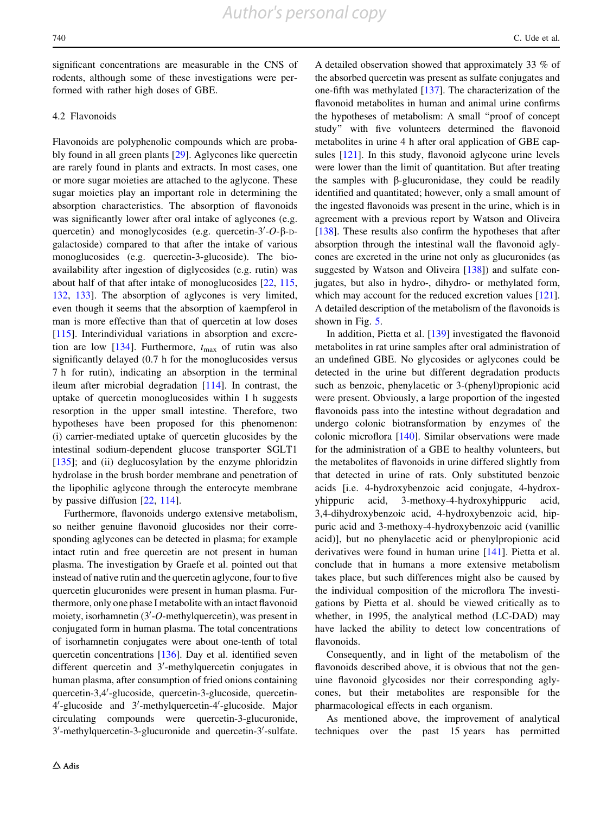significant concentrations are measurable in the CNS of rodents, although some of these investigations were performed with rather high doses of GBE.

#### 4.2 Flavonoids

Flavonoids are polyphenolic compounds which are probably found in all green plants [\[29](#page-18-0)]. Aglycones like quercetin are rarely found in plants and extracts. In most cases, one or more sugar moieties are attached to the aglycone. These sugar moieties play an important role in determining the absorption characteristics. The absorption of flavonoids was significantly lower after oral intake of aglycones (e.g. quercetin) and monoglycosides (e.g. quercetin- $3'-O$ - $\beta$ -Dgalactoside) compared to that after the intake of various monoglucosides (e.g. quercetin-3-glucoside). The bioavailability after ingestion of diglycosides (e.g. rutin) was about half of that after intake of monoglucosides [\[22](#page-18-0), [115,](#page-21-0) [132,](#page-21-0) [133](#page-21-0)]. The absorption of aglycones is very limited, even though it seems that the absorption of kaempferol in man is more effective than that of quercetin at low doses [\[115](#page-21-0)]. Interindividual variations in absorption and excre-tion are low [[134\]](#page-21-0). Furthermore,  $t_{\text{max}}$  of rutin was also significantly delayed (0.7 h for the monoglucosides versus 7 h for rutin), indicating an absorption in the terminal ileum after microbial degradation [[114\]](#page-21-0). In contrast, the uptake of quercetin monoglucosides within 1 h suggests resorption in the upper small intestine. Therefore, two hypotheses have been proposed for this phenomenon: (i) carrier-mediated uptake of quercetin glucosides by the intestinal sodium-dependent glucose transporter SGLT1 [\[135](#page-21-0)]; and (ii) deglucosylation by the enzyme phloridzin hydrolase in the brush border membrane and penetration of the lipophilic aglycone through the enterocyte membrane by passive diffusion [[22,](#page-18-0) [114\]](#page-21-0).

Furthermore, flavonoids undergo extensive metabolism, so neither genuine flavonoid glucosides nor their corresponding aglycones can be detected in plasma; for example intact rutin and free quercetin are not present in human plasma. The investigation by Graefe et al. pointed out that instead of native rutin and the quercetin aglycone, four to five quercetin glucuronides were present in human plasma. Furthermore, only one phase I metabolite with an intact flavonoid moiety, isorhamnetin  $(3'-O$ -methylquercetin), was present in conjugated form in human plasma. The total concentrations of isorhamnetin conjugates were about one-tenth of total quercetin concentrations [\[136](#page-21-0)]. Day et al. identified seven different quercetin and 3'-methylquercetin conjugates in human plasma, after consumption of fried onions containing quercetin-3,4'-glucoside, quercetin-3-glucoside, quercetin-4'-glucoside and 3'-methylquercetin-4'-glucoside. Major circulating compounds were quercetin-3-glucuronide, 3'-methylquercetin-3-glucuronide and quercetin-3'-sulfate.

A detailed observation showed that approximately 33 % of the absorbed quercetin was present as sulfate conjugates and one-fifth was methylated [\[137\]](#page-21-0). The characterization of the flavonoid metabolites in human and animal urine confirms the hypotheses of metabolism: A small ''proof of concept study'' with five volunteers determined the flavonoid metabolites in urine 4 h after oral application of GBE capsules [\[121\]](#page-21-0). In this study, flavonoid aglycone urine levels were lower than the limit of quantitation. But after treating the samples with  $\beta$ -glucuronidase, they could be readily identified and quantitated; however, only a small amount of the ingested flavonoids was present in the urine, which is in agreement with a previous report by Watson and Oliveira [\[138](#page-21-0)]. These results also confirm the hypotheses that after absorption through the intestinal wall the flavonoid aglycones are excreted in the urine not only as glucuronides (as suggested by Watson and Oliveira  $[138]$  $[138]$  $[138]$  and sulfate conjugates, but also in hydro-, dihydro- or methylated form, which may account for the reduced excretion values [[121](#page-21-0)]. A detailed description of the metabolism of the flavonoids is shown in Fig. [5](#page-14-0).

In addition, Pietta et al. [[139\]](#page-21-0) investigated the flavonoid metabolites in rat urine samples after oral administration of an undefined GBE. No glycosides or aglycones could be detected in the urine but different degradation products such as benzoic, phenylacetic or 3-(phenyl)propionic acid were present. Obviously, a large proportion of the ingested flavonoids pass into the intestine without degradation and undergo colonic biotransformation by enzymes of the colonic microflora [[140\]](#page-21-0). Similar observations were made for the administration of a GBE to healthy volunteers, but the metabolites of flavonoids in urine differed slightly from that detected in urine of rats. Only substituted benzoic acids [i.e. 4-hydroxybenzoic acid conjugate, 4-hydroxyhippuric acid, 3-methoxy-4-hydroxyhippuric acid, 3,4-dihydroxybenzoic acid, 4-hydroxybenzoic acid, hippuric acid and 3-methoxy-4-hydroxybenzoic acid (vanillic acid)], but no phenylacetic acid or phenylpropionic acid derivatives were found in human urine [[141\]](#page-21-0). Pietta et al. conclude that in humans a more extensive metabolism takes place, but such differences might also be caused by the individual composition of the microflora The investigations by Pietta et al. should be viewed critically as to whether, in 1995, the analytical method (LC-DAD) may have lacked the ability to detect low concentrations of flavonoids.

Consequently, and in light of the metabolism of the flavonoids described above, it is obvious that not the genuine flavonoid glycosides nor their corresponding aglycones, but their metabolites are responsible for the pharmacological effects in each organism.

As mentioned above, the improvement of analytical techniques over the past 15 years has permitted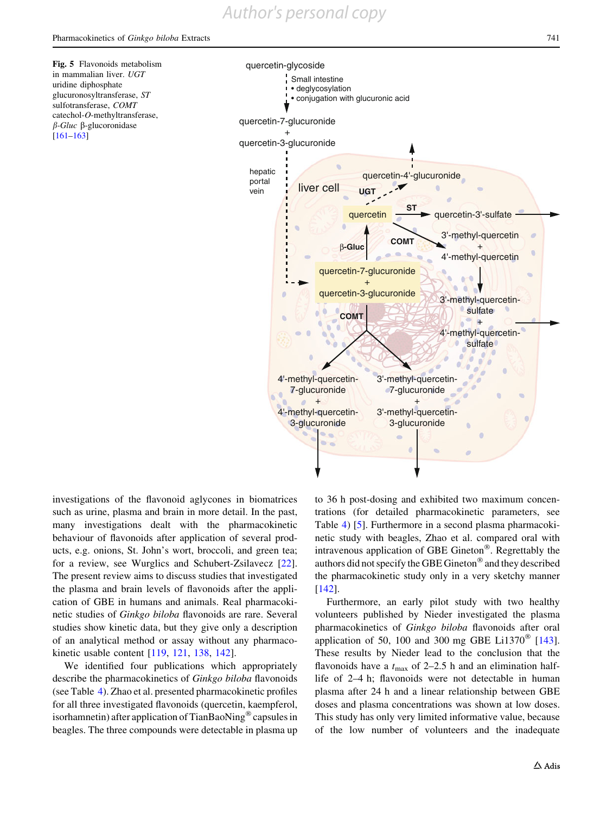Small intestine • deglycosylation

liver cell

4'-methyl-quercetin-7-glucuronide + 4'-methyl-quercetin-3-glucuronide

×

**COMT**

β**-Gluc**

<span id="page-14-0"></span>Fig. 5 Flavonoids metabolism in mammalian liver. UGT uridine diphosphate glucuronosyltransferase, ST sulfotransferase, COMT catechol-O-methyltransferase,  $\beta$ -Gluc  $\beta$ -glucoronidase [[161–163\]](#page-22-0)

quercetin-7-glucuronide + quercetin-3-glucuronide

> hepatic portal vein



3'-methyl-quercetinsulfate + 4'-methyl-quercetinsulfate

investigations of the flavonoid aglycones in biomatrices such as urine, plasma and brain in more detail. In the past, many investigations dealt with the pharmacokinetic behaviour of flavonoids after application of several products, e.g. onions, St. John's wort, broccoli, and green tea; for a review, see Wurglics and Schubert-Zsilavecz [\[22](#page-18-0)]. The present review aims to discuss studies that investigated the plasma and brain levels of flavonoids after the application of GBE in humans and animals. Real pharmacokinetic studies of Ginkgo biloba flavonoids are rare. Several studies show kinetic data, but they give only a description of an analytical method or assay without any pharmacokinetic usable content [[119,](#page-21-0) [121,](#page-21-0) [138](#page-21-0), [142](#page-21-0)].

We identified four publications which appropriately describe the pharmacokinetics of Ginkgo biloba flavonoids (see Table [4](#page-15-0)). Zhao et al. presented pharmacokinetic profiles for all three investigated flavonoids (quercetin, kaempferol, isorhamnetin) after application of TianBaoNing<sup>®</sup> capsules in beagles. The three compounds were detectable in plasma up

to 36 h post-dosing and exhibited two maximum concentrations (for detailed pharmacokinetic parameters, see Table [4](#page-15-0)) [[5\]](#page-18-0). Furthermore in a second plasma pharmacokinetic study with beagles, Zhao et al. compared oral with intravenous application of GBE Gineton $^{\circledR}$ . Regrettably the authors did not specify the GBE Gineton<sup>®</sup> and they described the pharmacokinetic study only in a very sketchy manner [\[142](#page-21-0)].

3'-methyl-quercetin-7-glucuronide + 3'-methyl-quercetin-3-glucuronide

Furthermore, an early pilot study with two healthy volunteers published by Nieder investigated the plasma pharmacokinetics of Ginkgo biloba flavonoids after oral application of 50, 100 and 300 mg GBE Li1370<sup> $\degree$ </sup> [\[143](#page-21-0)]. These results by Nieder lead to the conclusion that the flavonoids have a  $t_{\text{max}}$  of 2–2.5 h and an elimination halflife of 2–4 h; flavonoids were not detectable in human plasma after 24 h and a linear relationship between GBE doses and plasma concentrations was shown at low doses. This study has only very limited informative value, because of the low number of volunteers and the inadequate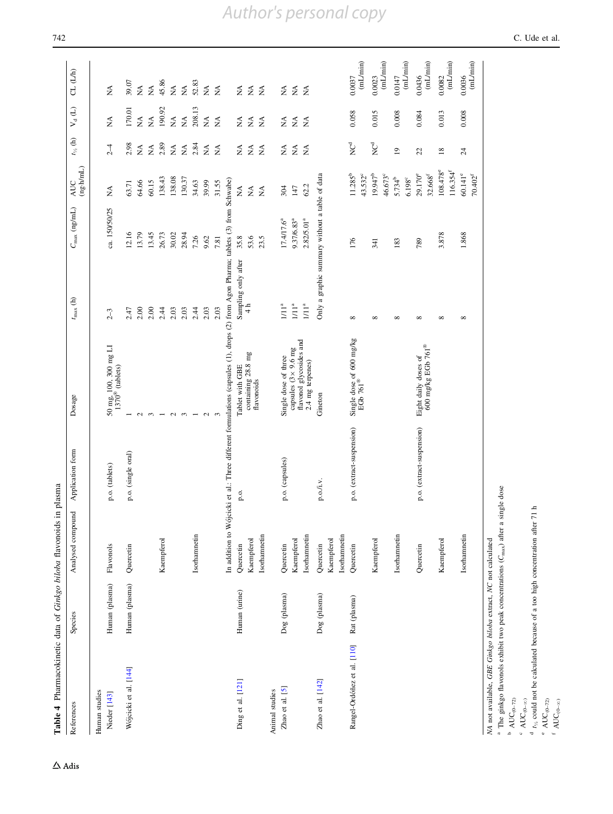<span id="page-15-0"></span>

| Table 4 Pharmacokinetic data of Ginkgo biloba flavonoids in plasma |                |                            |                           |                                                                                                                                   |                                                |                          |                                    |                                |                                             |                                         |
|--------------------------------------------------------------------|----------------|----------------------------|---------------------------|-----------------------------------------------------------------------------------------------------------------------------------|------------------------------------------------|--------------------------|------------------------------------|--------------------------------|---------------------------------------------|-----------------------------------------|
| References                                                         | Species        | Analysed compound          | Application form          | Dosage                                                                                                                            | $t_{\rm max}$ (h)                              | $C_{\text{max}}$ (ng/mL) | $(ng \cdot h/mL)$<br><b>AUC</b>    | $t_{\nu_{\!A}}$ (h)            | $\mathsf{V}_{\sf d}\left(\mathsf{L}\right)$ | CL (L/h)                                |
| Human studies<br>Nieder [143]                                      | Human (plasma) | Flavonols                  | p.o. (tablets)            | $50 \text{ mg}, 100, 300 \text{ mg }\text{LI}$<br>$1370^{\circ}$ (tablets)                                                        | $2-3$                                          | ca. 150/50/25            | $\lessapprox$                      | $2-4$                          | $\tilde{\mathbf{z}}$                        | $\tilde{\mathbf{z}}$                    |
| Wójcicki et al. [144]                                              | Human (plasma) | Quercetin                  | p.o. (single oral)        |                                                                                                                                   | 2.47                                           | 12.16                    | 63.71                              | 2.98                           | 170.01                                      | 39.07                                   |
|                                                                    |                |                            |                           |                                                                                                                                   | 2.00                                           | 13.79                    | 64.66                              | $\tilde{\mathbf{z}}$           | $\stackrel{\triangle}{\Sigma}$              | $\vec{\Sigma}$                          |
|                                                                    |                |                            |                           | $\sim$                                                                                                                            | 2.00                                           | 13.45                    | 60.15                              | $\tilde{\mathbf{z}}$           | $\tilde{\mathbf{z}}$                        | $\tilde{\Sigma}$                        |
|                                                                    |                | Kaempferol                 |                           |                                                                                                                                   | 2.44                                           | 26.73                    | 138.43                             | 2.89                           | 190.92                                      | 45.86                                   |
|                                                                    |                |                            |                           | $\mathbf{C}$                                                                                                                      | 2.03                                           | 30.02                    | 138.08                             | $\stackrel{\triangle}{\simeq}$ | $\tilde{\mathbf{z}}$                        | $\vec{\Sigma}$                          |
|                                                                    |                |                            |                           | $\infty$                                                                                                                          | 2.03                                           | 28.94                    | 130.37                             | $\lesssim$                     | $\tilde{\mathbf{z}}$                        | $\tilde{\mathbf{z}}$                    |
|                                                                    |                | Isorhamnetin               |                           |                                                                                                                                   | 2.44                                           | 7.26                     | 34.63                              | 2.84                           | 208.13                                      | 52.83                                   |
|                                                                    |                |                            |                           | $\mathbf{C}$                                                                                                                      | 2.03                                           | 9.62                     | 39.99                              | $\tilde{\mathbf{z}}$           | $\stackrel{\triangle}{\scriptstyle{Z}}$     | $\stackrel{\triangle}{\scriptstyle{Z}}$ |
|                                                                    |                |                            |                           |                                                                                                                                   | 2.03                                           | 7.81                     | 31.55                              | $\tilde{\ge}$                  | $\tilde{\mathbf{z}}$                        | $\stackrel{\triangle}{\simeq}$          |
|                                                                    |                |                            |                           | In addition to Wójcicki et al.: Three different formulations (capsules (1), drops (2) from Agon Pharma; tablets (3) from Schwabe) |                                                |                          |                                    |                                |                                             |                                         |
| Ding et al. [121]                                                  | Human (urine)  | Quercetin                  | p.g                       | Tablet with GBE                                                                                                                   | Sampling only after                            | 35.8                     | $\boldsymbol{\hat{\mathsf{z}}}$    | $\stackrel{\triangle}{\geq}$   | $\stackrel{\triangle}{\geq}$                | $\stackrel{\triangle}{\simeq}$          |
|                                                                    |                | Kaempferol                 |                           | containing 28.8 mg<br>flavonoids                                                                                                  | 4 h                                            | 53.6                     | $\lessapprox$                      | $\lesssim$                     | $\stackrel{\triangle}{\Sigma}$              | $\tilde{\mathbf{M}}$                    |
|                                                                    |                | Isorhamnetin               |                           |                                                                                                                                   |                                                | 23.5                     | $\tilde{\mathbf{z}}$               | $\tilde{z}$                    | $\frac{4}{2}$                               | $\lessapprox$                           |
| Animal studies                                                     |                |                            |                           |                                                                                                                                   |                                                |                          |                                    |                                |                                             |                                         |
| Zhao et al. [5]                                                    | Dog (plasma)   | Quercetin                  | p.o. (capsules)           | Single dose of three                                                                                                              | 11 <sup>a</sup>                                | 17.4/17.6 <sup>ª</sup>   | 304                                | $\lessapprox$                  | $\stackrel{\triangle}{\simeq}$              | $\tilde{\mathbf{z}}$                    |
|                                                                    |                | Kaempferol                 |                           | flavonol glycosides and<br>capsules $(3 \times 9.6$ mg                                                                            | $11^a$                                         | 9.37/6.83ª               | 147                                | $\tilde{\mathbf{z}}$           | $\stackrel{\triangle}{\Sigma}$              | $\mathop{\mathsf{NA}}$                  |
|                                                                    |                | Isorhamnetin               |                           | $2.4$ mg terpenes)                                                                                                                | $11^a$                                         | $2.82/5.01^{a}$          | 62.2                               | $\tilde{\mathbf{z}}$           | $\tilde{\mathbf{z}}$                        | $\tilde{\mathbf{z}}$                    |
| Zhao et al. [142]                                                  | Dog (plasma)   | Quercetin                  | p.o./i.v.                 | Gineton                                                                                                                           | Only a graphic summary without a table of data |                          |                                    |                                |                                             |                                         |
|                                                                    |                | Isorhamnetin<br>Kaempferol |                           |                                                                                                                                   |                                                |                          |                                    |                                |                                             |                                         |
| Rangel-Ordóñez et al. [110]                                        | Rat (plasma)   | Quercetin                  | p.o. (extract-suspension) | Single dose of 600 mg/kg<br>EGb 761®                                                                                              | ${}^{\circ}$                                   | 176                      | $11.285^{b}$<br>43.532°            | NC°                            | 0.058                                       | (mL/min)<br>0.0037                      |
|                                                                    |                | Kaempferol                 |                           |                                                                                                                                   | $\infty$                                       | 341                      | $19.947^{b}$<br>46.673°            | NC <sup>d</sup>                | 0.015                                       | (mL/min)<br>0.0023                      |
|                                                                    |                | Isorhamnetin               |                           |                                                                                                                                   | $\infty$                                       | 183                      | $5.734^{b}$                        | $\overline{1}$                 | 0.008                                       | 0.0147                                  |
|                                                                    |                |                            |                           |                                                                                                                                   |                                                |                          | $6.198^{\circ}$                    |                                |                                             | (mL/min)                                |
|                                                                    |                | Quercetin                  | p.o. (extract-suspension) | 600 mg/kg EGb 761®<br>Eight daily doses of                                                                                        | $^{\circ}$                                     | 789                      | 29.170°<br>$32.668^{\rm f}$        | 22                             | 0.084                                       | (mL/min)<br>0.0436                      |
|                                                                    |                | Kaempferol                 |                           |                                                                                                                                   | $\infty$                                       | 3.878                    | 108.478°<br>$116.354$ <sup>t</sup> | $\overline{18}$                | 0.013                                       | (mL/min)<br>0.0082                      |
|                                                                    |                | Isorhamnetin               |                           |                                                                                                                                   | $\infty$                                       | 1.868                    | $60.141^{\circ}$<br>$70.402^{f}$   | $\overline{24}$                | 0.008                                       | (mL/min)<br>0.0036                      |
|                                                                    |                |                            |                           |                                                                                                                                   |                                                |                          |                                    |                                |                                             |                                         |

NA not available, GBE Ginkgo biloba extract, NC not calculated

MA not available. *GBE Ginkgo biloba* extract, *NC* not calculated<br><sup>a</sup> The ginkgo flavonols exhibit two peak concentrations ( $C_{\text{max}}$ ) after a single dose <sup>a</sup> The ginkgo flavonols exhibit two peak concentrations ( $C_{\text{max}}$ ) after a single dose

b  $AUC_{(0-72)}$  $^{\rm b}$  AUC<sub>(0–72)</sub>

 $^{\rm c}$  AUC<br>(0- $\infty)$  $\lq \text{AUC}_{(0-\infty)}$ 

 $\tilde{t}_\chi$  $\mathfrak{c}_2$  could not be calculated because of a too high concentration after 71 h

 $^{\circ}$  AUC $_{\rm 0-720}$ 

ef $\mathsf{AUC}_{(\mathbb{0}-\infty)}$ 

 $\Delta$ Adis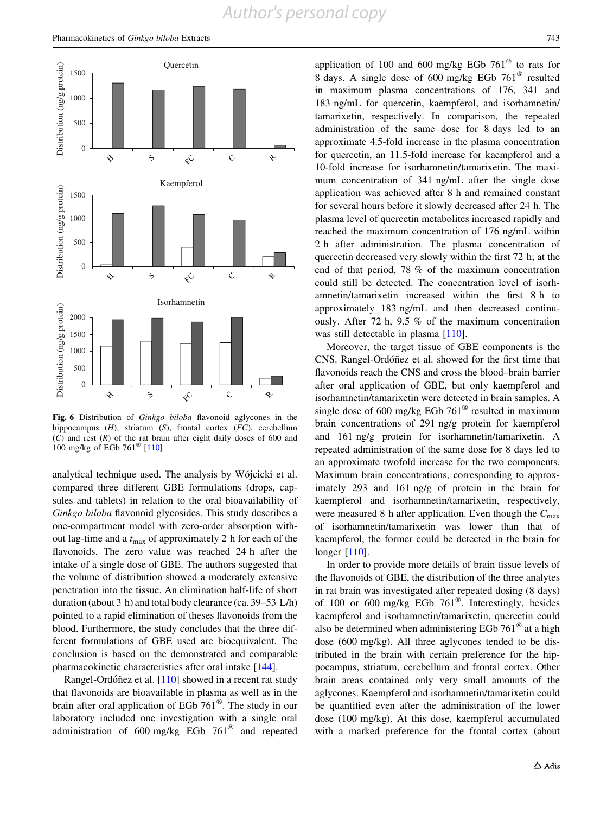<span id="page-16-0"></span>

Fig. 6 Distribution of Ginkgo biloba flavonoid aglycones in the hippocampus  $(H)$ , striatum  $(S)$ , frontal cortex  $(FC)$ , cerebellum  $(C)$  and rest  $(R)$  of the rat brain after eight daily doses of 600 and 100 mg/kg of EGb 761<sup>®</sup> [[110](#page-20-0)]

analytical technique used. The analysis by Wójcicki et al. compared three different GBE formulations (drops, capsules and tablets) in relation to the oral bioavailability of Ginkgo biloba flavonoid glycosides. This study describes a one-compartment model with zero-order absorption without lag-time and a  $t_{\text{max}}$  of approximately 2 h for each of the flavonoids. The zero value was reached 24 h after the intake of a single dose of GBE. The authors suggested that the volume of distribution showed a moderately extensive penetration into the tissue. An elimination half-life of short duration (about 3 h) and total body clearance (ca. 39–53 L/h) pointed to a rapid elimination of theses flavonoids from the blood. Furthermore, the study concludes that the three different formulations of GBE used are bioequivalent. The conclusion is based on the demonstrated and comparable pharmacokinetic characteristics after oral intake [[144\]](#page-21-0).

Rangel-Ordóñez et al.  $[110]$  $[110]$  showed in a recent rat study that flavonoids are bioavailable in plasma as well as in the brain after oral application of EGb  $761^{\circ}$ . The study in our laboratory included one investigation with a single oral administration of 600 mg/kg EGb  $761^{\circ}$  and repeated application of 100 and 600 mg/kg EGb 761 $\degree$  to rats for 8 days. A single dose of 600 mg/kg EGb  $761^{\circ}$  resulted in maximum plasma concentrations of 176, 341 and 183 ng/mL for quercetin, kaempferol, and isorhamnetin/ tamarixetin, respectively. In comparison, the repeated administration of the same dose for 8 days led to an approximate 4.5-fold increase in the plasma concentration for quercetin, an 11.5-fold increase for kaempferol and a 10-fold increase for isorhamnetin/tamarixetin. The maximum concentration of 341 ng/mL after the single dose application was achieved after 8 h and remained constant for several hours before it slowly decreased after 24 h. The plasma level of quercetin metabolites increased rapidly and reached the maximum concentration of 176 ng/mL within 2 h after administration. The plasma concentration of quercetin decreased very slowly within the first 72 h; at the end of that period, 78 % of the maximum concentration could still be detected. The concentration level of isorhamnetin/tamarixetin increased within the first 8 h to approximately 183 ng/mL and then decreased continuously. After 72 h, 9.5 % of the maximum concentration was still detectable in plasma [[110\]](#page-20-0).

Moreover, the target tissue of GBE components is the CNS. Rangel-Ordóñez et al. showed for the first time that flavonoids reach the CNS and cross the blood–brain barrier after oral application of GBE, but only kaempferol and isorhamnetin/tamarixetin were detected in brain samples. A single dose of 600 mg/kg EGb  $761^{\circ}$  resulted in maximum brain concentrations of 291 ng/g protein for kaempferol and 161 ng/g protein for isorhamnetin/tamarixetin. A repeated administration of the same dose for 8 days led to an approximate twofold increase for the two components. Maximum brain concentrations, corresponding to approximately 293 and 161 ng/g of protein in the brain for kaempferol and isorhamnetin/tamarixetin, respectively, were measured 8 h after application. Even though the  $C_{\text{max}}$ of isorhamnetin/tamarixetin was lower than that of kaempferol, the former could be detected in the brain for longer [\[110](#page-20-0)].

In order to provide more details of brain tissue levels of the flavonoids of GBE, the distribution of the three analytes in rat brain was investigated after repeated dosing (8 days) of 100 or 600 mg/kg EGb  $761^{\circ}$ . Interestingly, besides kaempferol and isorhamnetin/tamarixetin, quercetin could also be determined when administering EGb  $761^{\circ}$  at a high dose (600 mg/kg). All three aglycones tended to be distributed in the brain with certain preference for the hippocampus, striatum, cerebellum and frontal cortex. Other brain areas contained only very small amounts of the aglycones. Kaempferol and isorhamnetin/tamarixetin could be quantified even after the administration of the lower dose (100 mg/kg). At this dose, kaempferol accumulated with a marked preference for the frontal cortex (about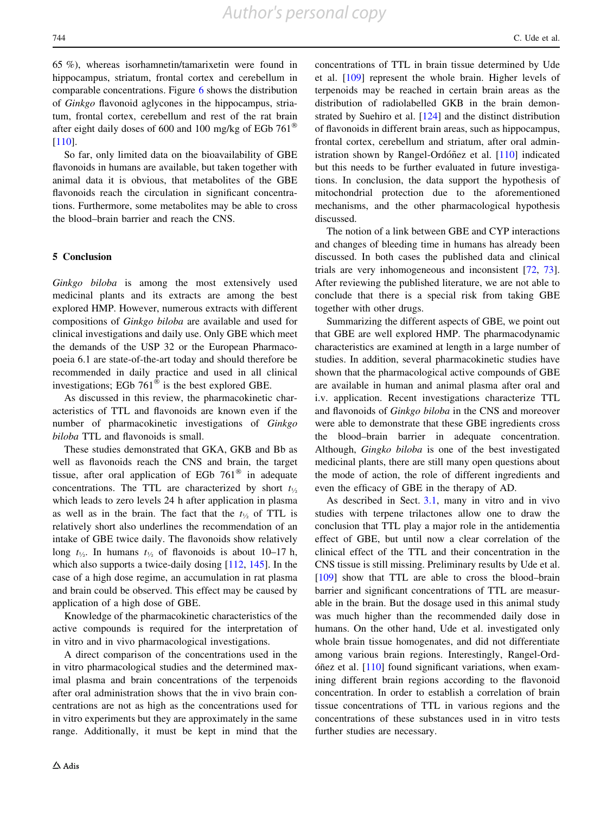65 %), whereas isorhamnetin/tamarixetin were found in hippocampus, striatum, frontal cortex and cerebellum in comparable concentrations. Figure [6](#page-16-0) shows the distribution of Ginkgo flavonoid aglycones in the hippocampus, striatum, frontal cortex, cerebellum and rest of the rat brain after eight daily doses of 600 and 100 mg/kg of EGb  $761^{\circ}$ [\[110](#page-20-0)].

So far, only limited data on the bioavailability of GBE flavonoids in humans are available, but taken together with animal data it is obvious, that metabolites of the GBE flavonoids reach the circulation in significant concentrations. Furthermore, some metabolites may be able to cross the blood–brain barrier and reach the CNS.

#### 5 Conclusion

Ginkgo biloba is among the most extensively used medicinal plants and its extracts are among the best explored HMP. However, numerous extracts with different compositions of Ginkgo biloba are available and used for clinical investigations and daily use. Only GBE which meet the demands of the USP 32 or the European Pharmacopoeia 6.1 are state-of-the-art today and should therefore be recommended in daily practice and used in all clinical investigations; EGb  $761^{\circ}$  is the best explored GBE.

As discussed in this review, the pharmacokinetic characteristics of TTL and flavonoids are known even if the number of pharmacokinetic investigations of Ginkgo biloba TTL and flavonoids is small.

These studies demonstrated that GKA, GKB and Bb as well as flavonoids reach the CNS and brain, the target tissue, after oral application of EGb  $761^{\circ}$  in adequate concentrations. The TTL are characterized by short  $t_{1/2}$ which leads to zero levels 24 h after application in plasma as well as in the brain. The fact that the  $t_{\frac{1}{2}}$  of TTL is relatively short also underlines the recommendation of an intake of GBE twice daily. The flavonoids show relatively long  $t_{\frac{1}{2}}$ . In humans  $t_{\frac{1}{2}}$  of flavonoids is about 10–17 h, which also supports a twice-daily dosing [[112,](#page-20-0) [145](#page-21-0)]. In the case of a high dose regime, an accumulation in rat plasma and brain could be observed. This effect may be caused by application of a high dose of GBE.

Knowledge of the pharmacokinetic characteristics of the active compounds is required for the interpretation of in vitro and in vivo pharmacological investigations.

A direct comparison of the concentrations used in the in vitro pharmacological studies and the determined maximal plasma and brain concentrations of the terpenoids after oral administration shows that the in vivo brain concentrations are not as high as the concentrations used for in vitro experiments but they are approximately in the same range. Additionally, it must be kept in mind that the concentrations of TTL in brain tissue determined by Ude et al. [\[109](#page-20-0)] represent the whole brain. Higher levels of terpenoids may be reached in certain brain areas as the distribution of radiolabelled GKB in the brain demonstrated by Suehiro et al. [[124\]](#page-21-0) and the distinct distribution of flavonoids in different brain areas, such as hippocampus, frontal cortex, cerebellum and striatum, after oral administration shown by Rangel-Ordóñez et al.  $[110]$  $[110]$  indicated but this needs to be further evaluated in future investigations. In conclusion, the data support the hypothesis of mitochondrial protection due to the aforementioned mechanisms, and the other pharmacological hypothesis discussed.

The notion of a link between GBE and CYP interactions and changes of bleeding time in humans has already been discussed. In both cases the published data and clinical trials are very inhomogeneous and inconsistent [[72,](#page-19-0) [73](#page-20-0)]. After reviewing the published literature, we are not able to conclude that there is a special risk from taking GBE together with other drugs.

Summarizing the different aspects of GBE, we point out that GBE are well explored HMP. The pharmacodynamic characteristics are examined at length in a large number of studies. In addition, several pharmacokinetic studies have shown that the pharmacological active compounds of GBE are available in human and animal plasma after oral and i.v. application. Recent investigations characterize TTL and flavonoids of Ginkgo biloba in the CNS and moreover were able to demonstrate that these GBE ingredients cross the blood–brain barrier in adequate concentration. Although, Gingko biloba is one of the best investigated medicinal plants, there are still many open questions about the mode of action, the role of different ingredients and even the efficacy of GBE in the therapy of AD.

As described in Sect. [3.1](#page-2-0), many in vitro and in vivo studies with terpene trilactones allow one to draw the conclusion that TTL play a major role in the antidementia effect of GBE, but until now a clear correlation of the clinical effect of the TTL and their concentration in the CNS tissue is still missing. Preliminary results by Ude et al. [\[109](#page-20-0)] show that TTL are able to cross the blood–brain barrier and significant concentrations of TTL are measurable in the brain. But the dosage used in this animal study was much higher than the recommended daily dose in humans. On the other hand, Ude et al. investigated only whole brain tissue homogenates, and did not differentiate among various brain regions. Interestingly, Rangel-Ord- $\tilde{c}$  et al. [[110](#page-20-0)] found significant variations, when examining different brain regions according to the flavonoid concentration. In order to establish a correlation of brain tissue concentrations of TTL in various regions and the concentrations of these substances used in in vitro tests further studies are necessary.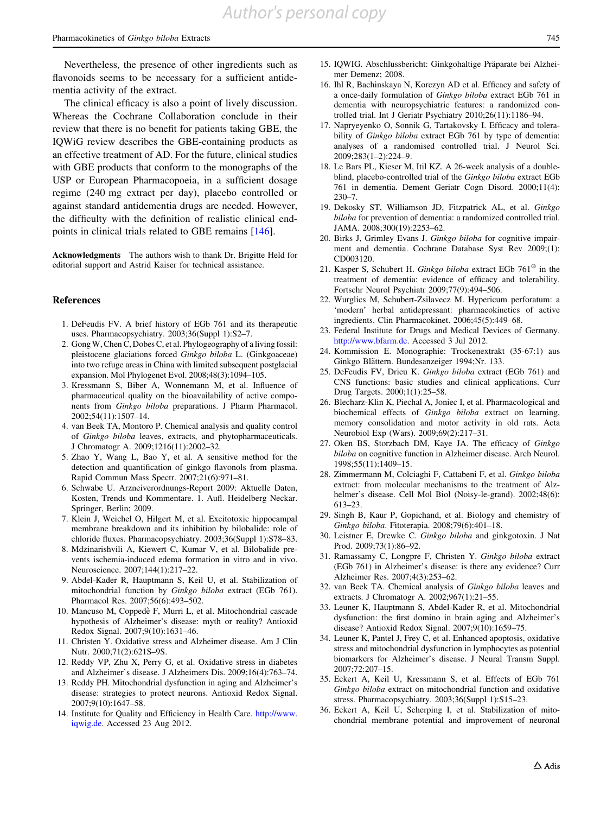<span id="page-18-0"></span>Nevertheless, the presence of other ingredients such as flavonoids seems to be necessary for a sufficient antidementia activity of the extract.

The clinical efficacy is also a point of lively discussion. Whereas the Cochrane Collaboration conclude in their review that there is no benefit for patients taking GBE, the IQWiG review describes the GBE-containing products as an effective treatment of AD. For the future, clinical studies with GBE products that conform to the monographs of the USP or European Pharmacopoeia, in a sufficient dosage regime (240 mg extract per day), placebo controlled or against standard antidementia drugs are needed. However, the difficulty with the definition of realistic clinical endpoints in clinical trials related to GBE remains [[146\]](#page-21-0).

Acknowledgments The authors wish to thank Dr. Brigitte Held for editorial support and Astrid Kaiser for technical assistance.

#### References

- 1. DeFeudis FV. A brief history of EGb 761 and its therapeutic uses. Pharmacopsychiatry. 2003;36(Suppl 1):S2–7.
- 2. Gong W, Chen C, Dobes C, et al. Phylogeography of a living fossil: pleistocene glaciations forced Ginkgo biloba L. (Ginkgoaceae) into two refuge areas in China with limited subsequent postglacial expansion. Mol Phylogenet Evol. 2008;48(3):1094–105.
- 3. Kressmann S, Biber A, Wonnemann M, et al. Influence of pharmaceutical quality on the bioavailability of active components from Ginkgo biloba preparations. J Pharm Pharmacol. 2002;54(11):1507–14.
- 4. van Beek TA, Montoro P. Chemical analysis and quality control of Ginkgo biloba leaves, extracts, and phytopharmaceuticals. J Chromatogr A. 2009;1216(11):2002–32.
- 5. Zhao Y, Wang L, Bao Y, et al. A sensitive method for the detection and quantification of ginkgo flavonols from plasma. Rapid Commun Mass Spectr. 2007;21(6):971–81.
- 6. Schwabe U. Arzneiverordnungs-Report 2009: Aktuelle Daten, Kosten, Trends und Kommentare. 1. Aufl. Heidelberg Neckar. Springer, Berlin; 2009.
- 7. Klein J, Weichel O, Hilgert M, et al. Excitotoxic hippocampal membrane breakdown and its inhibition by bilobalide: role of chloride fluxes. Pharmacopsychiatry. 2003;36(Suppl 1):S78–83.
- 8. Mdzinarishvili A, Kiewert C, Kumar V, et al. Bilobalide prevents ischemia-induced edema formation in vitro and in vivo. Neuroscience. 2007;144(1):217–22.
- 9. Abdel-Kader R, Hauptmann S, Keil U, et al. Stabilization of mitochondrial function by Ginkgo biloba extract (EGb 761). Pharmacol Res. 2007;56(6):493–502.
- 10. Mancuso M, Coppede` F, Murri L, et al. Mitochondrial cascade hypothesis of Alzheimer's disease: myth or reality? Antioxid Redox Signal. 2007;9(10):1631–46.
- 11. Christen Y. Oxidative stress and Alzheimer disease. Am J Clin Nutr. 2000;71(2):621S–9S.
- 12. Reddy VP, Zhu X, Perry G, et al. Oxidative stress in diabetes and Alzheimer's disease. J Alzheimers Dis. 2009;16(4):763–74.
- 13. Reddy PH. Mitochondrial dysfunction in aging and Alzheimer's disease: strategies to protect neurons. Antioxid Redox Signal. 2007;9(10):1647–58.
- 14. Institute for Quality and Efficiency in Health Care. [http://www.](http://www.iqwig.de) [iqwig.de.](http://www.iqwig.de) Accessed 23 Aug 2012.
- 15. IQWIG. Abschlussbericht: Ginkgohaltige Präparate bei Alzheimer Demenz; 2008.
- 16. Ihl R, Bachinskaya N, Korczyn AD et al. Efficacy and safety of a once-daily formulation of Ginkgo biloba extract EGb 761 in dementia with neuropsychiatric features: a randomized controlled trial. Int J Geriatr Psychiatry 2010;26(11):1186–94.
- 17. Napryeyenko O, Sonnik G, Tartakovsky I. Efficacy and tolerability of *Ginkgo biloba* extract EGb 761 by type of dementia: analyses of a randomised controlled trial. J Neurol Sci. 2009;283(1–2):224–9.
- 18. Le Bars PL, Kieser M, Itil KZ. A 26-week analysis of a doubleblind, placebo-controlled trial of the Ginkgo biloba extract EGb 761 in dementia. Dement Geriatr Cogn Disord. 2000;11(4): 230–7.
- 19. Dekosky ST, Williamson JD, Fitzpatrick AL, et al. Ginkgo biloba for prevention of dementia: a randomized controlled trial. JAMA. 2008;300(19):2253–62.
- 20. Birks J, Grimley Evans J. Ginkgo biloba for cognitive impairment and dementia. Cochrane Database Syst Rev 2009;(1): CD003120.
- 21. Kasper S, Schubert H. Ginkgo biloba extract EGb  $761^{\circ}$  in the treatment of dementia: evidence of efficacy and tolerability. Fortschr Neurol Psychiatr 2009;77(9):494–506.
- 22. Wurglics M, Schubert-Zsilavecz M. Hypericum perforatum: a 'modern' herbal antidepressant: pharmacokinetics of active ingredients. Clin Pharmacokinet. 2006;45(5):449–68.
- 23. Federal Institute for Drugs and Medical Devices of Germany. [http://www.bfarm.de.](http://www.bfarm.de) Accessed 3 Jul 2012.
- 24. Kommission E. Monographie: Trockenextrakt (35-67:1) aus Ginkgo Blättern. Bundesanzeiger 1994;Nr. 133.
- 25. DeFeudis FV, Drieu K. Ginkgo biloba extract (EGb 761) and CNS functions: basic studies and clinical applications. Curr Drug Targets. 2000;1(1):25–58.
- 26. Blecharz-Klin K, Piechal A, Joniec I, et al. Pharmacological and biochemical effects of Ginkgo biloba extract on learning, memory consolidation and motor activity in old rats. Acta Neurobiol Exp (Wars). 2009;69(2):217–31.
- 27. Oken BS, Storzbach DM, Kaye JA. The efficacy of Ginkgo biloba on cognitive function in Alzheimer disease. Arch Neurol. 1998;55(11):1409–15.
- 28. Zimmermann M, Colciaghi F, Cattabeni F, et al. Ginkgo biloba extract: from molecular mechanisms to the treatment of Alzhelmer's disease. Cell Mol Biol (Noisy-le-grand). 2002;48(6): 613–23.
- 29. Singh B, Kaur P, Gopichand, et al. Biology and chemistry of Ginkgo biloba. Fitoterapia. 2008;79(6):401–18.
- 30. Leistner E, Drewke C. Ginkgo biloba and ginkgotoxin. J Nat Prod. 2009;73(1):86–92.
- 31. Ramassamy C, Longpre F, Christen Y. Ginkgo biloba extract (EGb 761) in Alzheimer's disease: is there any evidence? Curr Alzheimer Res. 2007;4(3):253–62.
- 32. van Beek TA. Chemical analysis of Ginkgo biloba leaves and extracts. J Chromatogr A. 2002;967(1):21–55.
- 33. Leuner K, Hauptmann S, Abdel-Kader R, et al. Mitochondrial dysfunction: the first domino in brain aging and Alzheimer's disease? Antioxid Redox Signal. 2007;9(10):1659–75.
- 34. Leuner K, Pantel J, Frey C, et al. Enhanced apoptosis, oxidative stress and mitochondrial dysfunction in lymphocytes as potential biomarkers for Alzheimer's disease. J Neural Transm Suppl. 2007;72:207–15.
- 35. Eckert A, Keil U, Kressmann S, et al. Effects of EGb 761 Ginkgo biloba extract on mitochondrial function and oxidative stress. Pharmacopsychiatry. 2003;36(Suppl 1):S15–23.
- 36. Eckert A, Keil U, Scherping I, et al. Stabilization of mitochondrial membrane potential and improvement of neuronal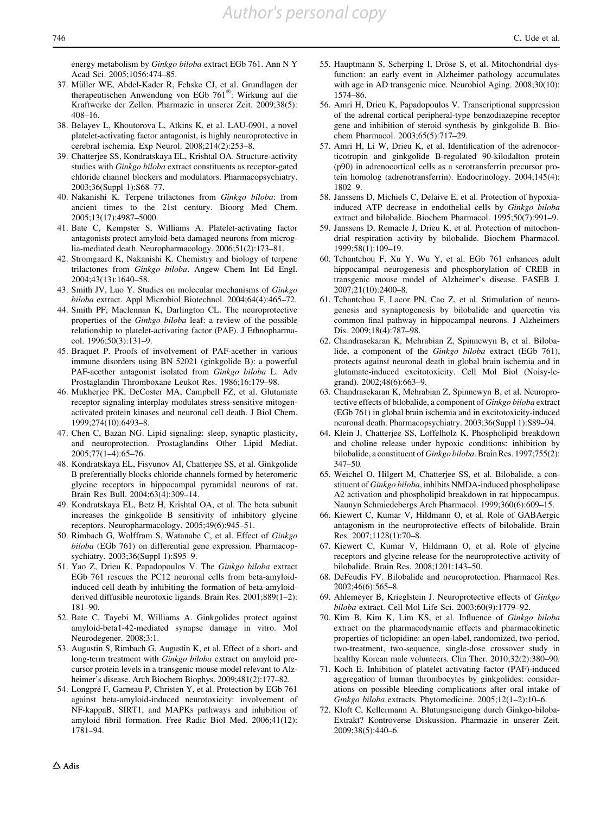<span id="page-19-0"></span>energy metabolism by Ginkgo biloba extract EGb 761. Ann N Y Acad Sci. 2005;1056:474–85.

- 37. Müller WE, Abdel-Kader R, Fehske CJ, et al. Grundlagen der therapeutischen Anwendung von EGb 761®: Wirkung auf die Kraftwerke der Zellen. Pharmazie in unserer Zeit. 2009;38(5): 408–16.
- 38. Belayev L, Khoutorova L, Atkins K, et al. LAU-0901, a novel platelet-activating factor antagonist, is highly neuroprotective in cerebral ischemia. Exp Neurol. 2008;214(2):253–8.
- 39. Chatterjee SS, Kondratskaya EL, Krishtal OA. Structure-activity studies with Ginkgo biloba extract constituents as receptor-gated chloride channel blockers and modulators. Pharmacopsychiatry. 2003;36(Suppl 1):S68–77.
- 40. Nakanishi K. Terpene trilactones from Ginkgo biloba: from ancient times to the 21st century. Bioorg Med Chem. 2005;13(17):4987–5000.
- 41. Bate C, Kempster S, Williams A. Platelet-activating factor antagonists protect amyloid-beta damaged neurons from microglia-mediated death. Neuropharmacology. 2006;51(2):173–81.
- 42. Stromgaard K, Nakanishi K. Chemistry and biology of terpene trilactones from Ginkgo biloba. Angew Chem Int Ed Engl. 2004;43(13):1640–58.
- 43. Smith JV, Luo Y. Studies on molecular mechanisms of Ginkgo biloba extract. Appl Microbiol Biotechnol. 2004;64(4):465–72.
- 44. Smith PF, Maclennan K, Darlington CL. The neuroprotective properties of the Ginkgo biloba leaf: a review of the possible relationship to platelet-activating factor (PAF). J Ethnopharmacol. 1996;50(3):131–9.
- 45. Braquet P. Proofs of involvement of PAF-acether in various immune disorders using BN 52021 (ginkgolide B): a powerful PAF-acether antagonist isolated from Ginkgo biloba L. Adv Prostaglandin Thromboxane Leukot Res. 1986;16:179–98.
- 46. Mukherjee PK, DeCoster MA, Campbell FZ, et al. Glutamate receptor signaling interplay modulates stress-sensitive mitogenactivated protein kinases and neuronal cell death. J Biol Chem. 1999;274(10):6493–8.
- 47. Chen C, Bazan NG. Lipid signaling: sleep, synaptic plasticity, and neuroprotection. Prostaglandins Other Lipid Mediat. 2005;77(1–4):65–76.
- 48. Kondratskaya EL, Fisyunov AI, Chatterjee SS, et al. Ginkgolide B preferentially blocks chloride channels formed by heteromeric glycine receptors in hippocampal pyramidal neurons of rat. Brain Res Bull. 2004;63(4):309–14.
- 49. Kondratskaya EL, Betz H, Krishtal OA, et al. The beta subunit increases the ginkgolide B sensitivity of inhibitory glycine receptors. Neuropharmacology. 2005;49(6):945–51.
- 50. Rimbach G, Wolffram S, Watanabe C, et al. Effect of Ginkgo biloba (EGb 761) on differential gene expression. Pharmacopsychiatry. 2003;36(Suppl 1):S95–9.
- 51. Yao Z, Drieu K, Papadopoulos V. The Ginkgo biloba extract EGb 761 rescues the PC12 neuronal cells from beta-amyloidinduced cell death by inhibiting the formation of beta-amyloidderived diffusible neurotoxic ligands. Brain Res. 2001;889(1–2): 181–90.
- 52. Bate C, Tayebi M, Williams A. Ginkgolides protect against amyloid-beta1-42-mediated synapse damage in vitro. Mol Neurodegener. 2008;3:1.
- 53. Augustin S, Rimbach G, Augustin K, et al. Effect of a short- and long-term treatment with Ginkgo biloba extract on amyloid precursor protein levels in a transgenic mouse model relevant to Alzheimer's disease. Arch Biochem Biophys. 2009;481(2):177–82.
- 54. Longpré F, Garneau P, Christen Y, et al. Protection by EGb 761 against beta-amyloid-induced neurotoxicity: involvement of NF-kappaB, SIRT1, and MAPKs pathways and inhibition of amyloid fibril formation. Free Radic Biol Med. 2006;41(12): 1781–94.
- 55. Hauptmann S, Scherping I, Dröse S, et al. Mitochondrial dysfunction: an early event in Alzheimer pathology accumulates with age in AD transgenic mice. Neurobiol Aging. 2008;30(10): 1574–86.
- 56. Amri H, Drieu K, Papadopoulos V. Transcriptional suppression of the adrenal cortical peripheral-type benzodiazepine receptor gene and inhibition of steroid synthesis by ginkgolide B. Biochem Pharmacol. 2003;65(5):717–29.
- 57. Amri H, Li W, Drieu K, et al. Identification of the adrenocorticotropin and ginkgolide B-regulated 90-kilodalton protein (p90) in adrenocortical cells as a serotransferrin precursor protein homolog (adrenotransferrin). Endocrinology. 2004;145(4): 1802–9.
- 58. Janssens D, Michiels C, Delaive E, et al. Protection of hypoxiainduced ATP decrease in endothelial cells by Ginkgo biloba extract and bilobalide. Biochem Pharmacol. 1995;50(7):991–9.
- 59. Janssens D, Remacle J, Drieu K, et al. Protection of mitochondrial respiration activity by bilobalide. Biochem Pharmacol. 1999;58(1):109–19.
- 60. Tchantchou F, Xu Y, Wu Y, et al. EGb 761 enhances adult hippocampal neurogenesis and phosphorylation of CREB in transgenic mouse model of Alzheimer's disease. FASEB J. 2007;21(10):2400–8.
- 61. Tchantchou F, Lacor PN, Cao Z, et al. Stimulation of neurogenesis and synaptogenesis by bilobalide and quercetin via common final pathway in hippocampal neurons. J Alzheimers Dis. 2009;18(4):787–98.
- 62. Chandrasekaran K, Mehrabian Z, Spinnewyn B, et al. Bilobalide, a component of the Ginkgo biloba extract (EGb 761), protects against neuronal death in global brain ischemia and in glutamate-induced excitotoxicity. Cell Mol Biol (Noisy-legrand). 2002;48(6):663–9.
- 63. Chandrasekaran K, Mehrabian Z, Spinnewyn B, et al. Neuroprotective effects of bilobalide, a component of Ginkgo biloba extract (EGb 761) in global brain ischemia and in excitotoxicity-induced neuronal death. Pharmacopsychiatry. 2003;36(Suppl 1):S89–94.
- 64. Klein J, Chatterjee SS, Loffelholz K. Phospholipid breakdown and choline release under hypoxic conditions: inhibition by bilobalide, a constituent of Ginkgo biloba. Brain Res. 1997;755(2): 347–50.
- 65. Weichel O, Hilgert M, Chatterjee SS, et al. Bilobalide, a constituent of *Ginkgo biloba*, inhibits NMDA-induced phospholipase A2 activation and phospholipid breakdown in rat hippocampus. Naunyn Schmiedebergs Arch Pharmacol. 1999;360(6):609–15.
- 66. Kiewert C, Kumar V, Hildmann O, et al. Role of GABAergic antagonism in the neuroprotective effects of bilobalide. Brain Res. 2007;1128(1):70–8.
- 67. Kiewert C, Kumar V, Hildmann O, et al. Role of glycine receptors and glycine release for the neuroprotective activity of bilobalide. Brain Res. 2008;1201:143–50.
- 68. DeFeudis FV. Bilobalide and neuroprotection. Pharmacol Res. 2002;46(6):565–8.
- 69. Ahlemeyer B, Krieglstein J. Neuroprotective effects of Ginkgo biloba extract. Cell Mol Life Sci. 2003;60(9):1779–92.
- 70. Kim B, Kim K, Lim KS, et al. Influence of Ginkgo biloba extract on the pharmacodynamic effects and pharmacokinetic properties of ticlopidine: an open-label, randomized, two-period, two-treatment, two-sequence, single-dose crossover study in healthy Korean male volunteers. Clin Ther. 2010;32(2):380-90.
- 71. Koch E. Inhibition of platelet activating factor (PAF)-induced aggregation of human thrombocytes by ginkgolides: considerations on possible bleeding complications after oral intake of Ginkgo biloba extracts. Phytomedicine. 2005;12(1–2):10–6.
- 72. Kloft C, Kellermann A. Blutungsneigung durch Ginkgo-biloba-Extrakt? Kontroverse Diskussion. Pharmazie in unserer Zeit. 2009;38(5):440–6.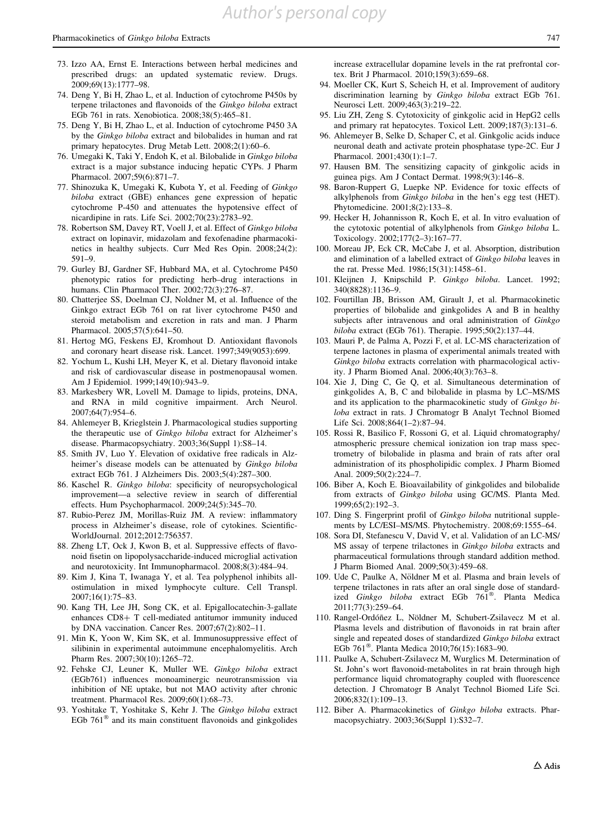- <span id="page-20-0"></span>73. Izzo AA, Ernst E. Interactions between herbal medicines and prescribed drugs: an updated systematic review. Drugs. 2009;69(13):1777–98.
- 74. Deng Y, Bi H, Zhao L, et al. Induction of cytochrome P450s by terpene trilactones and flavonoids of the Ginkgo biloba extract EGb 761 in rats. Xenobiotica. 2008;38(5):465–81.
- 75. Deng Y, Bi H, Zhao L, et al. Induction of cytochrome P450 3A by the Ginkgo biloba extract and bilobalides in human and rat primary hepatocytes. Drug Metab Lett. 2008;2(1):60–6.
- 76. Umegaki K, Taki Y, Endoh K, et al. Bilobalide in Ginkgo biloba extract is a major substance inducing hepatic CYPs. J Pharm Pharmacol. 2007;59(6):871–7.
- 77. Shinozuka K, Umegaki K, Kubota Y, et al. Feeding of Ginkgo biloba extract (GBE) enhances gene expression of hepatic cytochrome P-450 and attenuates the hypotensive effect of nicardipine in rats. Life Sci. 2002;70(23):2783–92.
- 78. Robertson SM, Davey RT, Voell J, et al. Effect of Ginkgo biloba extract on lopinavir, midazolam and fexofenadine pharmacokinetics in healthy subjects. Curr Med Res Opin. 2008;24(2): 591–9.
- 79. Gurley BJ, Gardner SF, Hubbard MA, et al. Cytochrome P450 phenotypic ratios for predicting herb–drug interactions in humans. Clin Pharmacol Ther. 2002;72(3):276–87.
- 80. Chatterjee SS, Doelman CJ, Noldner M, et al. Influence of the Ginkgo extract EGb 761 on rat liver cytochrome P450 and steroid metabolism and excretion in rats and man. J Pharm Pharmacol. 2005;57(5):641–50.
- 81. Hertog MG, Feskens EJ, Kromhout D. Antioxidant flavonols and coronary heart disease risk. Lancet. 1997;349(9053):699.
- 82. Yochum L, Kushi LH, Meyer K, et al. Dietary flavonoid intake and risk of cardiovascular disease in postmenopausal women. Am J Epidemiol. 1999;149(10):943–9.
- 83. Markesbery WR, Lovell M. Damage to lipids, proteins, DNA, and RNA in mild cognitive impairment. Arch Neurol. 2007;64(7):954–6.
- 84. Ahlemeyer B, Krieglstein J. Pharmacological studies supporting the therapeutic use of Ginkgo biloba extract for Alzheimer's disease. Pharmacopsychiatry. 2003;36(Suppl 1):S8–14.
- 85. Smith JV, Luo Y. Elevation of oxidative free radicals in Alzheimer's disease models can be attenuated by Ginkgo biloba extract EGb 761. J Alzheimers Dis. 2003;5(4):287–300.
- 86. Kaschel R. Ginkgo biloba: specificity of neuropsychological improvement—a selective review in search of differential effects. Hum Psychopharmacol. 2009;24(5):345–70.
- 87. Rubio-Perez JM, Morillas-Ruiz JM. A review: inflammatory process in Alzheimer's disease, role of cytokines. Scientific-WorldJournal. 2012;2012:756357.
- 88. Zheng LT, Ock J, Kwon B, et al. Suppressive effects of flavonoid fisetin on lipopolysaccharide-induced microglial activation and neurotoxicity. Int Immunopharmacol. 2008;8(3):484–94.
- 89. Kim J, Kina T, Iwanaga Y, et al. Tea polyphenol inhibits allostimulation in mixed lymphocyte culture. Cell Transpl. 2007;16(1):75–83.
- 90. Kang TH, Lee JH, Song CK, et al. Epigallocatechin-3-gallate enhances CD8+ T cell-mediated antitumor immunity induced by DNA vaccination. Cancer Res. 2007;67(2):802–11.
- 91. Min K, Yoon W, Kim SK, et al. Immunosuppressive effect of silibinin in experimental autoimmune encephalomyelitis. Arch Pharm Res. 2007;30(10):1265–72.
- 92. Fehske CJ, Leuner K, Muller WE. Ginkgo biloba extract (EGb761) influences monoaminergic neurotransmission via inhibition of NE uptake, but not MAO activity after chronic treatment. Pharmacol Res. 2009;60(1):68–73.
- 93. Yoshitake T, Yoshitake S, Kehr J. The Ginkgo biloba extract EGb  $761^{\circledast}$  and its main constituent flavonoids and ginkgolides

increase extracellular dopamine levels in the rat prefrontal cortex. Brit J Pharmacol. 2010;159(3):659–68.

- 94. Moeller CK, Kurt S, Scheich H, et al. Improvement of auditory discrimination learning by Ginkgo biloba extract EGb 761. Neurosci Lett. 2009;463(3):219–22.
- 95. Liu ZH, Zeng S. Cytotoxicity of ginkgolic acid in HepG2 cells and primary rat hepatocytes. Toxicol Lett. 2009;187(3):131–6.
- 96. Ahlemeyer B, Selke D, Schaper C, et al. Ginkgolic acids induce neuronal death and activate protein phosphatase type-2C. Eur J Pharmacol. 2001;430(1):1–7.
- 97. Hausen BM. The sensitizing capacity of ginkgolic acids in guinea pigs. Am J Contact Dermat. 1998;9(3):146–8.
- 98. Baron-Ruppert G, Luepke NP. Evidence for toxic effects of alkylphenols from Ginkgo biloba in the hen's egg test (HET). Phytomedicine. 2001;8(2):133–8.
- 99. Hecker H, Johannisson R, Koch E, et al. In vitro evaluation of the cytotoxic potential of alkylphenols from Ginkgo biloba L. Toxicology. 2002;177(2–3):167–77.
- 100. Moreau JP, Eck CR, McCabe J, et al. Absorption, distribution and elimination of a labelled extract of Ginkgo biloba leaves in the rat. Presse Med. 1986;15(31):1458–61.
- 101. Kleijnen J, Knipschild P. Ginkgo biloba. Lancet. 1992; 340(8828):1136–9.
- 102. Fourtillan JB, Brisson AM, Girault J, et al. Pharmacokinetic properties of bilobalide and ginkgolides A and B in healthy subjects after intravenous and oral administration of Ginkgo biloba extract (EGb 761). Therapie. 1995;50(2):137–44.
- 103. Mauri P, de Palma A, Pozzi F, et al. LC-MS characterization of terpene lactones in plasma of experimental animals treated with Ginkgo biloba extracts correlation with pharmacological activity. J Pharm Biomed Anal. 2006;40(3):763–8.
- 104. Xie J, Ding C, Ge Q, et al. Simultaneous determination of ginkgolides A, B, C and bilobalide in plasma by LC–MS/MS and its application to the pharmacokinetic study of Ginkgo biloba extract in rats. J Chromatogr B Analyt Technol Biomed Life Sci. 2008;864(1–2):87–94.
- 105. Rossi R, Basilico F, Rossoni G, et al. Liquid chromatography/ atmospheric pressure chemical ionization ion trap mass spectrometry of bilobalide in plasma and brain of rats after oral administration of its phospholipidic complex. J Pharm Biomed Anal. 2009;50(2):224–7.
- 106. Biber A, Koch E. Bioavailability of ginkgolides and bilobalide from extracts of Ginkgo biloba using GC/MS. Planta Med. 1999;65(2):192–3.
- 107. Ding S. Fingerprint profil of Ginkgo biloba nutritional supplements by LC/ESI–MS/MS. Phytochemistry. 2008;69:1555–64.
- 108. Sora DI, Stefanescu V, David V, et al. Validation of an LC-MS/ MS assay of terpene trilactones in Ginkgo biloba extracts and pharmaceutical formulations through standard addition method. J Pharm Biomed Anal. 2009;50(3):459–68.
- 109. Ude C, Paulke A, Nöldner M et al. Plasma and brain levels of terpene trilactones in rats after an oral single dose of standardized Ginkgo biloba extract EGb  $761^{\circ}$ . Planta Medica 2011;77(3):259–64.
- 110. Rangel-Ordóñez L, Nöldner M, Schubert-Zsilavecz M et al. Plasma levels and distribution of flavonoids in rat brain after single and repeated doses of standardized Ginkgo biloba extract EGb  $761^{\circ\circ}$ . Planta Medica 2010;76(15):1683–90.
- 111. Paulke A, Schubert-Zsilavecz M, Wurglics M. Determination of St. John's wort flavonoid-metabolites in rat brain through high performance liquid chromatography coupled with fluorescence detection. J Chromatogr B Analyt Technol Biomed Life Sci. 2006;832(1):109–13.
- 112. Biber A. Pharmacokinetics of Ginkgo biloba extracts. Pharmacopsychiatry. 2003;36(Suppl 1):S32–7.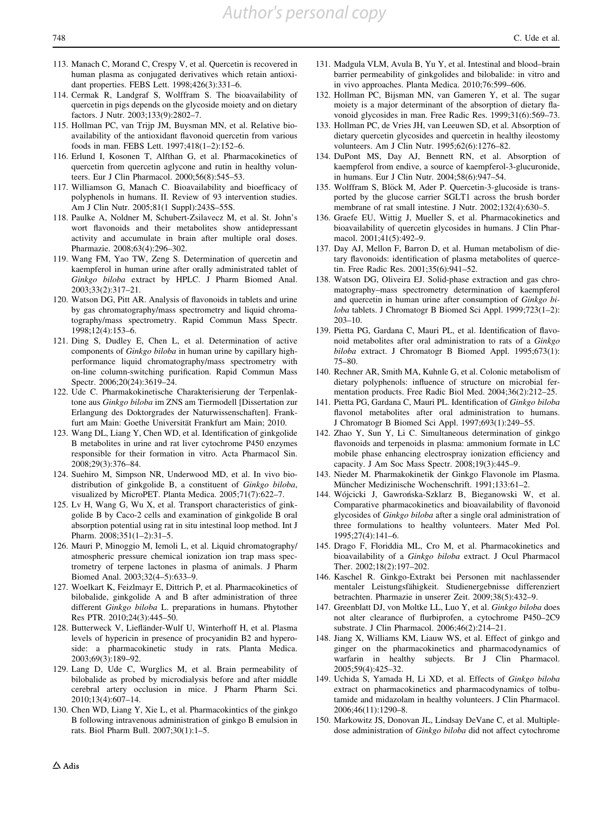- <span id="page-21-0"></span>113. Manach C, Morand C, Crespy V, et al. Quercetin is recovered in human plasma as conjugated derivatives which retain antioxidant properties. FEBS Lett. 1998;426(3):331–6.
- 114. Cermak R, Landgraf S, Wolffram S. The bioavailability of quercetin in pigs depends on the glycoside moiety and on dietary factors. J Nutr. 2003;133(9):2802–7.
- 115. Hollman PC, van Trijp JM, Buysman MN, et al. Relative bioavailability of the antioxidant flavonoid quercetin from various foods in man. FEBS Lett. 1997;418(1–2):152–6.
- 116. Erlund I, Kosonen T, Alfthan G, et al. Pharmacokinetics of quercetin from quercetin aglycone and rutin in healthy volunteers. Eur J Clin Pharmacol. 2000;56(8):545–53.
- 117. Williamson G, Manach C. Bioavailability and bioefficacy of polyphenols in humans. II. Review of 93 intervention studies. Am J Clin Nutr. 2005;81(1 Suppl):243S–55S.
- 118. Paulke A, Noldner M, Schubert-Zsilavecz M, et al. St. John's wort flavonoids and their metabolites show antidepressant activity and accumulate in brain after multiple oral doses. Pharmazie. 2008;63(4):296–302.
- 119. Wang FM, Yao TW, Zeng S. Determination of quercetin and kaempferol in human urine after orally administrated tablet of Ginkgo biloba extract by HPLC. J Pharm Biomed Anal. 2003;33(2):317–21.
- 120. Watson DG, Pitt AR. Analysis of flavonoids in tablets and urine by gas chromatography/mass spectrometry and liquid chromatography/mass spectrometry. Rapid Commun Mass Spectr. 1998;12(4):153–6.
- 121. Ding S, Dudley E, Chen L, et al. Determination of active components of Ginkgo biloba in human urine by capillary highperformance liquid chromatography/mass spectrometry with on-line column-switching purification. Rapid Commun Mass Spectr. 2006;20(24):3619–24.
- 122. Ude C. Pharmakokinetische Charakterisierung der Terpenlaktone aus Ginkgo biloba im ZNS am Tiermodell [Dissertation zur Erlangung des Doktorgrades der Naturwissenschaften]. Frankfurt am Main: Goethe Universität Frankfurt am Main; 2010.
- 123. Wang DL, Liang Y, Chen WD, et al. Identification of ginkgolide B metabolites in urine and rat liver cytochrome P450 enzymes responsible for their formation in vitro. Acta Pharmacol Sin. 2008;29(3):376–84.
- 124. Suehiro M, Simpson NR, Underwood MD, et al. In vivo biodistribution of ginkgolide B, a constituent of Ginkgo biloba, visualized by MicroPET. Planta Medica. 2005;71(7):622–7.
- 125. Lv H, Wang G, Wu X, et al. Transport characteristics of ginkgolide B by Caco-2 cells and examination of ginkgolide B oral absorption potential using rat in situ intestinal loop method. Int J Pharm. 2008;351(1–2):31–5.
- 126. Mauri P, Minoggio M, Iemoli L, et al. Liquid chromatography/ atmospheric pressure chemical ionization ion trap mass spectrometry of terpene lactones in plasma of animals. J Pharm Biomed Anal. 2003;32(4–5):633–9.
- 127. Woelkart K, Feizlmayr E, Dittrich P, et al. Pharmacokinetics of bilobalide, ginkgolide A and B after administration of three different Ginkgo biloba L. preparations in humans. Phytother Res PTR. 2010;24(3):445–50.
- 128. Butterweck V, Liefländer-Wulf U, Winterhoff H, et al. Plasma levels of hypericin in presence of procyanidin B2 and hyperoside: a pharmacokinetic study in rats. Planta Medica. 2003;69(3):189–92.
- 129. Lang D, Ude C, Wurglics M, et al. Brain permeability of bilobalide as probed by microdialysis before and after middle cerebral artery occlusion in mice. J Pharm Pharm Sci. 2010;13(4):607–14.
- 130. Chen WD, Liang Y, Xie L, et al. Pharmacokintics of the ginkgo B following intravenous administration of ginkgo B emulsion in rats. Biol Pharm Bull. 2007;30(1):1–5.
- 131. Madgula VLM, Avula B, Yu Y, et al. Intestinal and blood–brain barrier permeability of ginkgolides and bilobalide: in vitro and in vivo approaches. Planta Medica. 2010;76:599–606.
- 132. Hollman PC, Bijsman MN, van Gameren Y, et al. The sugar moiety is a major determinant of the absorption of dietary flavonoid glycosides in man. Free Radic Res. 1999;31(6):569–73.
- 133. Hollman PC, de Vries JH, van Leeuwen SD, et al. Absorption of dietary quercetin glycosides and quercetin in healthy ileostomy volunteers. Am J Clin Nutr. 1995;62(6):1276–82.
- 134. DuPont MS, Day AJ, Bennett RN, et al. Absorption of kaempferol from endive, a source of kaempferol-3-glucuronide, in humans. Eur J Clin Nutr. 2004;58(6):947–54.
- 135. Wolffram S, Blöck M, Ader P. Quercetin-3-glucoside is transported by the glucose carrier SGLT1 across the brush border membrane of rat small intestine. J Nutr. 2002;132(4):630–5.
- 136. Graefe EU, Wittig J, Mueller S, et al. Pharmacokinetics and bioavailability of quercetin glycosides in humans. J Clin Pharmacol. 2001;41(5):492–9.
- 137. Day AJ, Mellon F, Barron D, et al. Human metabolism of dietary flavonoids: identification of plasma metabolites of quercetin. Free Radic Res. 2001;35(6):941–52.
- 138. Watson DG, Oliveira EJ. Solid-phase extraction and gas chromatography–mass spectrometry determination of kaempferol and quercetin in human urine after consumption of Ginkgo biloba tablets. J Chromatogr B Biomed Sci Appl. 1999;723(1–2): 203–10.
- 139. Pietta PG, Gardana C, Mauri PL, et al. Identification of flavonoid metabolites after oral administration to rats of a Ginkgo biloba extract. J Chromatogr B Biomed Appl. 1995;673(1): 75–80.
- 140. Rechner AR, Smith MA, Kuhnle G, et al. Colonic metabolism of dietary polyphenols: influence of structure on microbial fermentation products. Free Radic Biol Med. 2004;36(2):212–25.
- 141. Pietta PG, Gardana C, Mauri PL. Identification of Ginkgo biloba flavonol metabolites after oral administration to humans. J Chromatogr B Biomed Sci Appl. 1997;693(1):249–55.
- 142. Zhao Y, Sun Y, Li C. Simultaneous determination of ginkgo flavonoids and terpenoids in plasma: ammonium formate in LC mobile phase enhancing electrospray ionization efficiency and capacity. J Am Soc Mass Spectr. 2008;19(3):445–9.
- 143. Nieder M. Pharmakokinetik der Ginkgo Flavonole im Plasma. Müncher Medizinische Wochenschrift. 1991;133:61-2.
- 144. Wójcicki J, Gawrońska-Szklarz B, Bieganowski W, et al. Comparative pharmacokinetics and bioavailability of flavonoid glycosides of Ginkgo biloba after a single oral administration of three formulations to healthy volunteers. Mater Med Pol. 1995;27(4):141–6.
- 145. Drago F, Floriddia ML, Cro M, et al. Pharmacokinetics and bioavailability of a Ginkgo biloba extract. J Ocul Pharmacol Ther. 2002;18(2):197–202.
- 146. Kaschel R. Ginkgo-Extrakt bei Personen mit nachlassender mentaler Leistungsfähigkeit. Studienergebnisse differenziert betrachten. Pharmazie in unserer Zeit. 2009;38(5):432–9.
- 147. Greenblatt DJ, von Moltke LL, Luo Y, et al. Ginkgo biloba does not alter clearance of flurbiprofen, a cytochrome P450–2C9 substrate. J Clin Pharmacol. 2006;46(2):214–21.
- 148. Jiang X, Williams KM, Liauw WS, et al. Effect of ginkgo and ginger on the pharmacokinetics and pharmacodynamics of warfarin in healthy subjects. Br J Clin Pharmacol. 2005;59(4):425–32.
- 149. Uchida S, Yamada H, Li XD, et al. Effects of Ginkgo biloba extract on pharmacokinetics and pharmacodynamics of tolbutamide and midazolam in healthy volunteers. J Clin Pharmacol. 2006;46(11):1290–8.
- 150. Markowitz JS, Donovan JL, Lindsay DeVane C, et al. Multipledose administration of Ginkgo biloba did not affect cytochrome